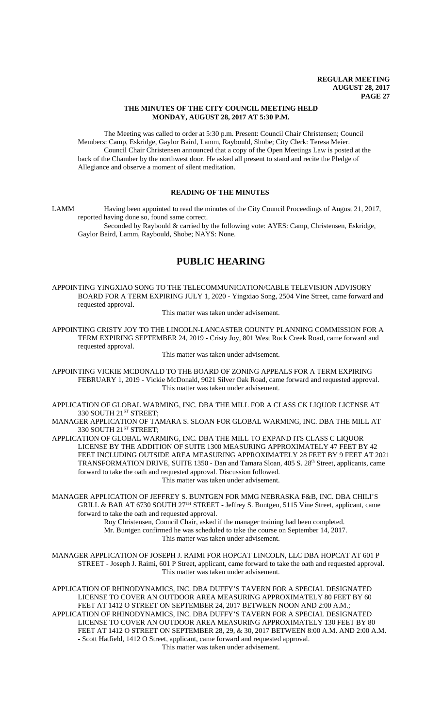### **THE MINUTES OF THE CITY COUNCIL MEETING HELD MONDAY, AUGUST 28, 2017 AT 5:30 P.M.**

The Meeting was called to order at 5:30 p.m. Present: Council Chair Christensen; Council Members: Camp, Eskridge, Gaylor Baird, Lamm, Raybould, Shobe; City Clerk: Teresa Meier. Council Chair Christensen announced that a copy of the Open Meetings Law is posted at the back of the Chamber by the northwest door. He asked all present to stand and recite the Pledge of Allegiance and observe a moment of silent meditation.

# **READING OF THE MINUTES**

LAMM Having been appointed to read the minutes of the City Council Proceedings of August 21, 2017, reported having done so, found same correct.

Seconded by Raybould & carried by the following vote: AYES: Camp, Christensen, Eskridge, Gaylor Baird, Lamm, Raybould, Shobe; NAYS: None.

# **PUBLIC HEARING**

APPOINTING YINGXIAO SONG TO THE TELECOMMUNICATION/CABLE TELEVISION ADVISORY BOARD FOR A TERM EXPIRING JULY 1, 2020 - Yingxiao Song, 2504 Vine Street, came forward and requested approval.

This matter was taken under advisement.

APPOINTING CRISTY JOY TO THE LINCOLN-LANCASTER COUNTY PLANNING COMMISSION FOR A TERM EXPIRING SEPTEMBER 24, 2019 - Cristy Joy, 801 West Rock Creek Road, came forward and requested approval.

This matter was taken under advisement.

APPOINTING VICKIE MCDONALD TO THE BOARD OF ZONING APPEALS FOR A TERM EXPIRING FEBRUARY 1, 2019 - Vickie McDonald, 9021 Silver Oak Road, came forward and requested approval. This matter was taken under advisement.

APPLICATION OF GLOBAL WARMING, INC. DBA THE MILL FOR A CLASS CK LIQUOR LICENSE AT 330 SOUTH 21<sup>ST</sup> STREET;

MANAGER APPLICATION OF TAMARA S. SLOAN FOR GLOBAL WARMING, INC. DBA THE MILL AT 330 SOUTH 21ST STREET;

APPLICATION OF GLOBAL WARMING, INC. DBA THE MILL TO EXPAND ITS CLASS C LIQUOR LICENSE BY THE ADDITION OF SUITE 1300 MEASURING APPROXIMATELY 47 FEET BY 42 FEET INCLUDING OUTSIDE AREA MEASURING APPROXIMATELY 28 FEET BY 9 FEET AT 2021 TRANSFORMATION DRIVE, SUITE 1350 - Dan and Tamara Sloan, 405 S. 28<sup>th</sup> Street, applicants, came forward to take the oath and requested approval. Discussion followed. This matter was taken under advisement.

MANAGER APPLICATION OF JEFFREY S. BUNTGEN FOR MMG NEBRASKA F&B, INC. DBA CHILI'S GRILL & BAR AT 6730 SOUTH 27<sup>TH</sup> STREET - Jeffrey S. Buntgen, 5115 Vine Street, applicant, came forward to take the oath and requested approval.

Roy Christensen, Council Chair, asked if the manager training had been completed. Mr. Buntgen confirmed he was scheduled to take the course on September 14, 2017. This matter was taken under advisement.

MANAGER APPLICATION OF JOSEPH J. RAIMI FOR HOPCAT LINCOLN, LLC DBA HOPCAT AT 601 P STREET - Joseph J. Raimi, 601 P Street, applicant, came forward to take the oath and requested approval. This matter was taken under advisement.

APPLICATION OF RHINODYNAMICS, INC. DBA DUFFY'S TAVERN FOR A SPECIAL DESIGNATED LICENSE TO COVER AN OUTDOOR AREA MEASURING APPROXIMATELY 80 FEET BY 60 FEET AT 1412 O STREET ON SEPTEMBER 24, 2017 BETWEEN NOON AND 2:00 A.M.; APPLICATION OF RHINODYNAMICS, INC. DBA DUFFY'S TAVERN FOR A SPECIAL DESIGNATED LICENSE TO COVER AN OUTDOOR AREA MEASURING APPROXIMATELY 130 FEET BY 80 FEET AT 1412 O STREET ON SEPTEMBER 28, 29, & 30, 2017 BETWEEN 8:00 A.M. AND 2:00 A.M. - Scott Hatfield, 1412 O Street, applicant, came forward and requested approval. This matter was taken under advisement.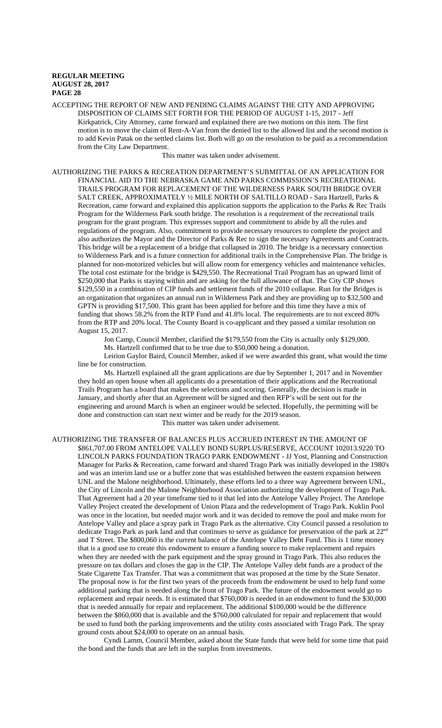ACCEPTING THE REPORT OF NEW AND PENDING CLAIMS AGAINST THE CITY AND APPROVING DISPOSITION OF CLAIMS SET FORTH FOR THE PERIOD OF AUGUST 1-15, 2017 - Jeff Kirkpatrick, City Attorney, came forward and explained there are two motions on this item. The first motion is to move the claim of Rent-A-Van from the denied list to the allowed list and the second motion is to add Kevin Patak on the settled claims list. Both will go on the resolution to be paid as a recommendation from the City Law Department.

This matter was taken under advisement.

AUTHORIZING THE PARKS & RECREATION DEPARTMENT'S SUBMITTAL OF AN APPLICATION FOR FINANCIAL AID TO THE NEBRASKA GAME AND PARKS COMMISSION'S RECREATIONAL TRAILS PROGRAM FOR REPLACEMENT OF THE WILDERNESS PARK SOUTH BRIDGE OVER SALT CREEK, APPROXIMATELY ½ MILE NORTH OF SALTILLO ROAD - Sara Hartzell, Parks & Recreation, came forward and explained this application supports the application to the Parks & Rec Trails Program for the Wilderness Park south bridge. The resolution is a requirement of the recreational trails program for the grant program. This expresses support and commitment to abide by all the rules and regulations of the program. Also, commitment to provide necessary resources to complete the project and also authorizes the Mayor and the Director of Parks & Rec to sign the necessary Agreements and Contracts. This bridge will be a replacement of a bridge that collapsed in 2010. The bridge is a necessary connection to Wilderness Park and is a future connection for additional trails in the Comprehensive Plan. The bridge is planned for non-motorized vehicles but will allow room for emergency vehicles and maintenance vehicles. The total cost estimate for the bridge is \$429,550. The Recreational Trail Program has an upward limit of \$250,000 that Parks is staying within and are asking for the full allowance of that. The City CIP shows \$129,550 in a combination of CIP funds and settlement funds of the 2010 collapse. Run for the Bridges is an organization that organizes an annual run in Wilderness Park and they are providing up to \$32,500 and GPTN is providing \$17,500. This grant has been applied for before and this time they have a mix of funding that shows 58.2% from the RTP Fund and 41.8% local. The requirements are to not exceed 80% from the RTP and 20% local. The County Board is co-applicant and they passed a similar resolution on August 15, 2017.

Jon Camp, Council Member, clarified the \$179,550 from the City is actually only \$129,000. Ms. Hartzell confirmed that to be true due to \$50,000 being a donation.

Leirion Gaylor Baird, Council Member, asked if we were awarded this grant, what would the time line be for construction.

Ms. Hartzell explained all the grant applications are due by September 1, 2017 and in November they hold an open house when all applicants do a presentation of their applications and the Recreational Trails Program has a board that makes the selections and scoring. Generally, the decision is made in January, and shortly after that an Agreement will be signed and then RFP's will be sent out for the engineering and around March is when an engineer would be selected. Hopefully, the permitting will be done and construction can start next winter and be ready for the 2019 season.

This matter was taken under advisement.

AUTHORIZING THE TRANSFER OF BALANCES PLUS ACCRUED INTEREST IN THE AMOUNT OF \$861,707.00 FROM ANTELOPE VALLEY BOND SURPLUS/RESERVE, ACCOUNT 102013.9220 TO LINCOLN PARKS FOUNDATION TRAGO PARK ENDOWMENT - JJ Yost, Planning and Construction Manager for Parks & Recreation, came forward and shared Trago Park was initially developed in the 1980's and was an interim land use or a buffer zone that was established between the eastern expansion between UNL and the Malone neighborhood. Ultimately, these efforts led to a three way Agreement between UNL, the City of Lincoln and the Malone Neighborhood Association authorizing the development of Trago Park. That Agreement had a 20 year timeframe tied to it that led into the Antelope Valley Project. The Antelope Valley Project created the development of Union Plaza and the redevelopment of Trago Park. Kuklin Pool was once in the location, but needed major work and it was decided to remove the pool and make room for Antelope Valley and place a spray park in Trago Park as the alternative. City Council passed a resolution to dedicate Trago Park as park land and that continues to serve as guidance for preservation of the park at 22nd and T Street. The \$800,060 is the current balance of the Antelope Valley Debt Fund. This is 1 time money that is a good use to create this endowment to ensure a funding source to make replacement and repairs when they are needed with the park equipment and the spray ground in Trago Park. This also reduces the pressure on tax dollars and closes the gap in the CIP. The Antelope Valley debt funds are a product of the State Cigarette Tax Transfer. That was a commitment that was proposed at the time by the State Senator. The proposal now is for the first two years of the proceeds from the endowment be used to help fund some additional parking that is needed along the front of Trago Park. The future of the endowment would go to replacement and repair needs. It is estimated that \$760,000 is needed in an endowment to fund the \$30,000 that is needed annually for repair and replacement. The additional \$100,000 would be the difference between the \$860,000 that is available and the \$760,000 calculated for repair and replacement that would be used to fund both the parking improvements and the utility costs associated with Trago Park. The spray ground costs about \$24,000 to operate on an annual basis.

Cyndi Lamm, Council Member, asked about the State funds that were held for some time that paid the bond and the funds that are left in the surplus from investments.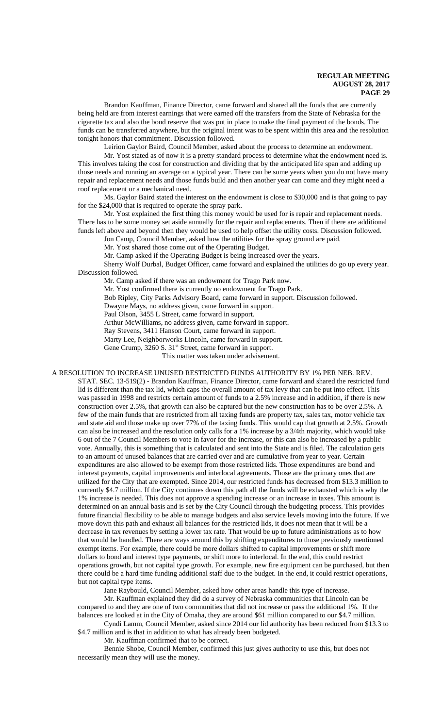Brandon Kauffman, Finance Director, came forward and shared all the funds that are currently being held are from interest earnings that were earned off the transfers from the State of Nebraska for the cigarette tax and also the bond reserve that was put in place to make the final payment of the bonds. The funds can be transferred anywhere, but the original intent was to be spent within this area and the resolution tonight honors that commitment. Discussion followed.

Leirion Gaylor Baird, Council Member, asked about the process to determine an endowment.

Mr. Yost stated as of now it is a pretty standard process to determine what the endowment need is. This involves taking the cost for construction and dividing that by the anticipated life span and adding up those needs and running an average on a typical year. There can be some years when you do not have many repair and replacement needs and those funds build and then another year can come and they might need a roof replacement or a mechanical need.

Ms. Gaylor Baird stated the interest on the endowment is close to \$30,000 and is that going to pay for the \$24,000 that is required to operate the spray park.

Mr. Yost explained the first thing this money would be used for is repair and replacement needs. There has to be some money set aside annually for the repair and replacements. Then if there are additional funds left above and beyond then they would be used to help offset the utility costs. Discussion followed.

Jon Camp, Council Member, asked how the utilities for the spray ground are paid.

Mr. Yost shared those come out of the Operating Budget.

Mr. Camp asked if the Operating Budget is being increased over the years.

Sherry Wolf Durbal, Budget Officer, came forward and explained the utilities do go up every year. Discussion followed.

Mr. Camp asked if there was an endowment for Trago Park now.

Mr. Yost confirmed there is currently no endowment for Trago Park.

Bob Ripley, City Parks Advisory Board, came forward in support. Discussion followed.

Dwayne Mays, no address given, came forward in support.

Paul Olson, 3455 L Street, came forward in support.

Arthur McWilliams, no address given, came forward in support.

Ray Stevens, 3411 Hanson Court, came forward in support.

Marty Lee, Neighborworks Lincoln, came forward in support.

Gene Crump, 3260 S. 31<sup>st</sup> Street, came forward in support.

This matter was taken under advisement.

A RESOLUTION TO INCREASE UNUSED RESTRICTED FUNDS AUTHORITY BY 1% PER NEB. REV.

STAT. SEC. 13-519(2) - Brandon Kauffman, Finance Director, came forward and shared the restricted fund lid is different than the tax lid, which caps the overall amount of tax levy that can be put into effect. This was passed in 1998 and restricts certain amount of funds to a 2.5% increase and in addition, if there is new construction over 2.5%, that growth can also be captured but the new construction has to be over 2.5%. A few of the main funds that are restricted from all taxing funds are property tax, sales tax, motor vehicle tax and state aid and those make up over 77% of the taxing funds. This would cap that growth at 2.5%. Growth can also be increased and the resolution only calls for a 1% increase by a 3/4th majority, which would take 6 out of the 7 Council Members to vote in favor for the increase, or this can also be increased by a public vote. Annually, this is something that is calculated and sent into the State and is filed. The calculation gets to an amount of unused balances that are carried over and are cumulative from year to year. Certain expenditures are also allowed to be exempt from those restricted lids. Those expenditures are bond and interest payments, capital improvements and interlocal agreements. Those are the primary ones that are utilized for the City that are exempted. Since 2014, our restricted funds has decreased from \$13.3 million to currently \$4.7 million. If the City continues down this path all the funds will be exhausted which is why the 1% increase is needed. This does not approve a spending increase or an increase in taxes. This amount is determined on an annual basis and is set by the City Council through the budgeting process. This provides future financial flexibility to be able to manage budgets and also service levels moving into the future. If we move down this path and exhaust all balances for the restricted lids, it does not mean that it will be a decrease in tax revenues by setting a lower tax rate. That would be up to future administrations as to how that would be handled. There are ways around this by shifting expenditures to those previously mentioned exempt items. For example, there could be more dollars shifted to capital improvements or shift more dollars to bond and interest type payments, or shift more to interlocal. In the end, this could restrict operations growth, but not capital type growth. For example, new fire equipment can be purchased, but then there could be a hard time funding additional staff due to the budget. In the end, it could restrict operations, but not capital type items.

Jane Raybould, Council Member, asked how other areas handle this type of increase.

Mr. Kauffman explained they did do a survey of Nebraska communities that Lincoln can be compared to and they are one of two communities that did not increase or pass the additional 1%. If the balances are looked at in the City of Omaha, they are around \$61 million compared to our \$4.7 million. Cyndi Lamm, Council Member, asked since 2014 our lid authority has been reduced from \$13.3 to

\$4.7 million and is that in addition to what has already been budgeted.

Mr. Kauffman confirmed that to be correct.

Bennie Shobe, Council Member, confirmed this just gives authority to use this, but does not necessarily mean they will use the money.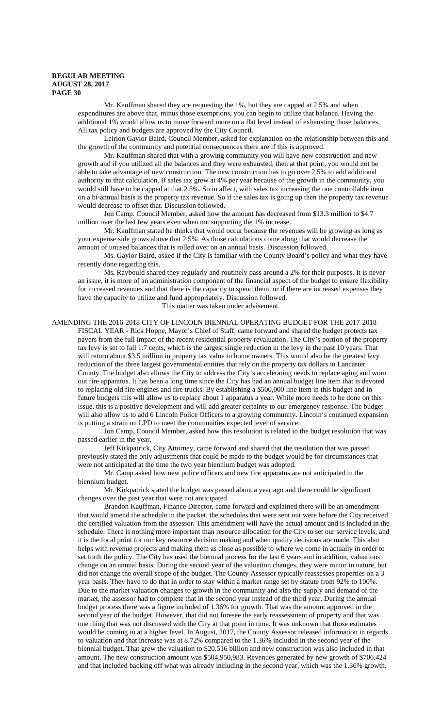Mr. Kauffman shared they are requesting the 1%, but they are capped at 2.5% and when expenditures are above that, minus those exemptions, you can begin to utilize that balance. Having the additional 1% would allow us to move forward more on a flat level instead of exhausting those balances. All tax policy and budgets are approved by the City Council.

Leirion Gaylor Baird, Council Member, asked for explanation on the relationship between this and the growth of the community and potential consequences there are if this is approved.

Mr. Kauffman shared that with a growing community you will have new construction and new growth and if you utilized all the balances and they were exhausted, then at that point, you would not be able to take advantage of new construction. The new construction has to go over 2.5% to add additional authority to that calculation. If sales tax grew at 4% per year because of the growth in the community, you would still have to be capped at that 2.5%. So in affect, with sales tax increasing the one controllable item on a bi-annual basis is the property tax revenue. So if the sales tax is going up then the property tax revenue would decrease to offset that. Discussion followed.

Jon Camp. Council Member, asked how the amount has decreased from \$13.3 million to \$4.7 million over the last few years even when not supporting the 1% increase.

Mr. Kauffman stated he thinks that would occur because the revenues will be growing as long as your expense side grows above that 2.5%. As those calculations come along that would decrease the amount of unused balances that is rolled over on an annual basis. Discussion followed.

Ms. Gaylor Baird, asked if the City is familiar with the County Board's policy and what they have recently done regarding this.

Ms. Raybould shared they regularly and routinely pass around a 2% for their purposes. It is never an issue, it is more of an administration component of the financial aspect of the budget to ensure flexibility for increased revenues and that there is the capacity to spend them, or if there are increased expenses they have the capacity to utilize and fund appropriately. Discussion followed.

This matter was taken under advisement.

AMENDING THE 2016-2018 CITY OF LINCOLN BIENNIAL OPERATING BUDGET FOR THE 2017-2018 FISCAL YEAR - Rick Hoppe, Mayor's Chief of Staff, came forward and shared the budget protects tax payers from the full impact of the recent residential property revaluation. The City's portion of the property tax levy is set to fall 1.7 cents, which is the largest single reduction in the levy in the past 10 years. That will return about \$3.5 million in property tax value to home owners. This would also be the greatest levy reduction of the three largest governmental entities that rely on the property tax dollars in Lancaster County. The budget also allows the City to address the City's accelerating needs to replace aging and worn out fire apparatus. It has been a long time since the City has had an annual budget line item that is devoted to replacing old fire engines and fire trucks. By establishing a \$500,000 line item in this budget and in future budgets this will allow us to replace about 1 apparatus a year. While more needs to be done on this issue, this is a positive development and will add greater certainty to our emergency response. The budget will also allow us to add 6 Lincoln Police Officers to a growing community. Lincoln's continued expansion is putting a strain on LPD to meet the communities expected level of service.

Jon Camp, Council Member, asked how this resolution is related to the budget resolution that was passed earlier in the year.

Jeff Kirkpatrick, City Attorney, came forward and shared that the resolution that was passed previously stated the only adjustments that could be made to the budget would be for circumstances that were not anticipated at the time the two year biennium budget was adopted.

Mr. Camp asked how new police officers and new fire apparatus are not anticipated in the biennium budget.

Mr. Kirkpatrick stated the budget was passed about a year ago and there could be significant changes over the past year that were not anticipated.

Brandon Kauffman, Finance Director, came forward and explained there will be an amendment that would amend the schedule in the packet, the schedules that were sent out were before the City received the certified valuation from the assessor. This amendment will have the actual amount and is included in the schedule. There is nothing more important than resource allocation for the City to set our service levels, and it is the focal point for our key resource decision making and when quality decisions are made. This also helps with revenue projects and making them as close as possible to where we come in actually in order to set forth the policy. The City has used the biennial process for the last 6 years and in addition, valuations change on an annual basis. During the second year of the valuation changes, they were minor in nature, but did not change the overall scope of the budget. The County Assessor typically reassesses properties on a 3 year basis. They have to do that in order to stay within a market range set by statute from 92% to 100%. Due to the market valuation changes to growth in the community and also the supply and demand of the market, the assessor had to complete that in the second year instead of the third year. During the annual budget process there was a figure included of 1.36% for growth. That was the amount approved in the second year of the budget. However, that did not foresee the early reassessment of property and that was one thing that was not discussed with the City at that point in time. It was unknown that those estimates would be coming in at a higher level. In August, 2017, the County Assessor released information in regards to valuation and that increase was at 8.72% compared to the 1.36% included in the second year of the biennial budget. That grew the valuation to \$20.516 billion and new construction was also included in that amount. The new construction amount was \$504,950,983. Revenues generated by new growth of \$706,424 and that included backing off what was already including in the second year, which was the 1.36% growth.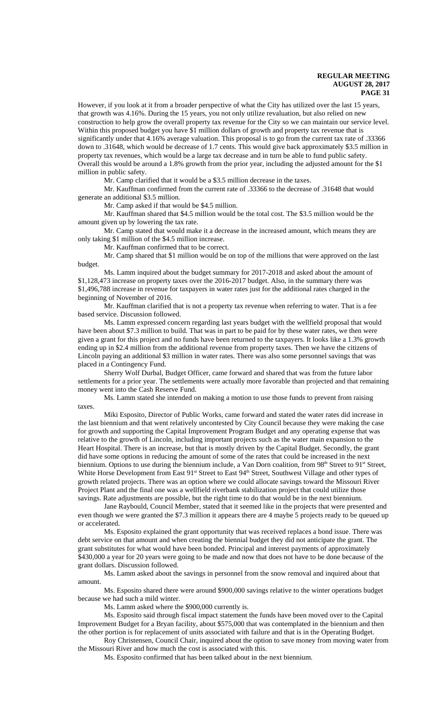However, if you look at it from a broader perspective of what the City has utilized over the last 15 years, that growth was 4.16%. During the 15 years, you not only utilize revaluation, but also relied on new construction to help grow the overall property tax revenue for the City so we can maintain our service level. Within this proposed budget you have \$1 million dollars of growth and property tax revenue that is significantly under that 4.16% average valuation. This proposal is to go from the current tax rate of .33366 down to .31648, which would be decrease of 1.7 cents. This would give back approximately \$3.5 million in property tax revenues, which would be a large tax decrease and in turn be able to fund public safety. Overall this would be around a 1.8% growth from the prior year, including the adjusted amount for the \$1 million in public safety.

Mr. Camp clarified that it would be a \$3.5 million decrease in the taxes.

Mr. Kauffman confirmed from the current rate of .33366 to the decrease of .31648 that would generate an additional \$3.5 million.

Mr. Camp asked if that would be \$4.5 million.

Mr. Kauffman shared that \$4.5 million would be the total cost. The \$3.5 million would be the amount given up by lowering the tax rate.

Mr. Camp stated that would make it a decrease in the increased amount, which means they are only taking \$1 million of the \$4.5 million increase.

Mr. Kauffman confirmed that to be correct.

Mr. Camp shared that \$1 million would be on top of the millions that were approved on the last budget.

Ms. Lamm inquired about the budget summary for 2017-2018 and asked about the amount of \$1,128,473 increase on property taxes over the 2016-2017 budget. Also, in the summary there was \$1,496,788 increase in revenue for taxpayers in water rates just for the additional rates charged in the beginning of November of 2016.

Mr. Kauffman clarified that is not a property tax revenue when referring to water. That is a fee based service. Discussion followed.

Ms. Lamm expressed concern regarding last years budget with the wellfield proposal that would have been about \$7.3 million to build. That was in part to be paid for by these water rates, we then were given a grant for this project and no funds have been returned to the taxpayers. It looks like a 1.3% growth ending up in \$2.4 million from the additional revenue from property taxes. Then we have the citizens of Lincoln paying an additional \$3 million in water rates. There was also some personnel savings that was placed in a Contingency Fund.

Sherry Wolf Durbal, Budget Officer, came forward and shared that was from the future labor settlements for a prior year. The settlements were actually more favorable than projected and that remaining money went into the Cash Reserve Fund.

Ms. Lamm stated she intended on making a motion to use those funds to prevent from raising taxes.

Miki Esposito, Director of Public Works, came forward and stated the water rates did increase in the last biennium and that went relatively uncontested by City Council because they were making the case for growth and supporting the Capital Improvement Program Budget and any operating expense that was relative to the growth of Lincoln, including important projects such as the water main expansion to the Heart Hospital. There is an increase, but that is mostly driven by the Capital Budget. Secondly, the grant did have some options in reducing the amount of some of the rates that could be increased in the next biennium. Options to use during the biennium include, a Van Dorn coalition, from 98<sup>th</sup> Street to 91<sup>st</sup> Street, White Horse Development from East 91<sup>st</sup> Street to East 94<sup>th</sup> Street, Southwest Village and other types of growth related projects. There was an option where we could allocate savings toward the Missouri River Project Plant and the final one was a wellfield riverbank stabilization project that could utilize those savings. Rate adjustments are possible, but the right time to do that would be in the next biennium.

Jane Raybould, Council Member, stated that it seemed like in the projects that were presented and even though we were granted the \$7.3 million it appears there are 4 maybe 5 projects ready to be queued up or accelerated.

Ms. Esposito explained the grant opportunity that was received replaces a bond issue. There was debt service on that amount and when creating the biennial budget they did not anticipate the grant. The grant substitutes for what would have been bonded. Principal and interest payments of approximately \$430,000 a year for 20 years were going to be made and now that does not have to be done because of the grant dollars. Discussion followed.

Ms. Lamm asked about the savings in personnel from the snow removal and inquired about that amount.

Ms. Esposito shared there were around \$900,000 savings relative to the winter operations budget because we had such a mild winter.

Ms. Lamm asked where the \$900,000 currently is.

Ms. Esposito said through fiscal impact statement the funds have been moved over to the Capital Improvement Budget for a Bryan facility, about \$575,000 that was contemplated in the biennium and then the other portion is for replacement of units associated with failure and that is in the Operating Budget.

Roy Christensen, Council Chair, inquired about the option to save money from moving water from the Missouri River and how much the cost is associated with this.

Ms. Esposito confirmed that has been talked about in the next biennium.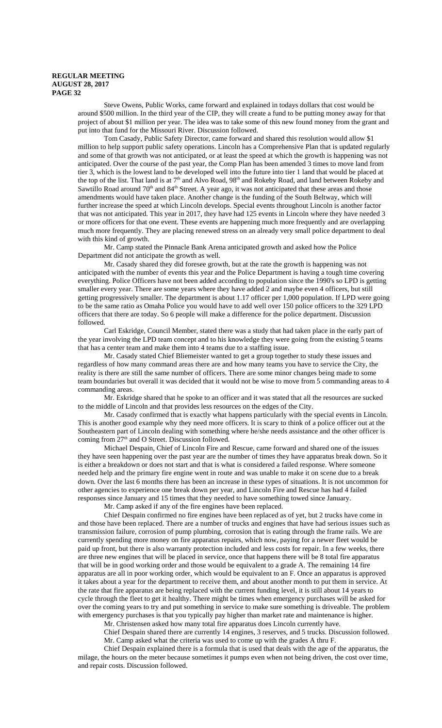Steve Owens, Public Works, came forward and explained in todays dollars that cost would be around \$500 million. In the third year of the CIP, they will create a fund to be putting money away for that project of about \$1 million per year. The idea was to take some of this new found money from the grant and put into that fund for the Missouri River. Discussion followed.

Tom Casady, Public Safety Director, came forward and shared this resolution would allow \$1 million to help support public safety operations. Lincoln has a Comprehensive Plan that is updated regularly and some of that growth was not anticipated, or at least the speed at which the growth is happening was not anticipated. Over the course of the past year, the Comp Plan has been amended 3 times to move land from tier 3, which is the lowest land to be developed well into the future into tier 1 land that would be placed at the top of the list. That land is at 7<sup>th</sup> and Alvo Road, 98<sup>th</sup> and Rokeby Road, and land between Rokeby and Sawtillo Road around 70<sup>th</sup> and 84<sup>th</sup> Street. A year ago, it was not anticipated that these areas and those amendments would have taken place. Another change is the funding of the South Beltway, which will further increase the speed at which Lincoln develops. Special events throughout Lincoln is another factor that was not anticipated. This year in 2017, they have had 125 events in Lincoln where they have needed 3 or more officers for that one event. These events are happening much more frequently and are overlapping much more frequently. They are placing renewed stress on an already very small police department to deal with this kind of growth.

Mr. Camp stated the Pinnacle Bank Arena anticipated growth and asked how the Police Department did not anticipate the growth as well.

Mr. Casady shared they did foresee growth, but at the rate the growth is happening was not anticipated with the number of events this year and the Police Department is having a tough time covering everything. Police Officers have not been added according to population since the 1990's so LPD is getting smaller every year. There are some years where they have added 2 and maybe even 4 officers, but still getting progressively smaller. The department is about 1.17 officer per 1,000 population. If LPD were going to be the same ratio as Omaha Police you would have to add well over 150 police officers to the 329 LPD officers that there are today. So 6 people will make a difference for the police department. Discussion followed.

Carl Eskridge, Council Member, stated there was a study that had taken place in the early part of the year involving the LPD team concept and to his knowledge they were going from the existing 5 teams that has a center team and make them into 4 teams due to a staffing issue.

Mr. Casady stated Chief Bliemeister wanted to get a group together to study these issues and regardless of how many command areas there are and how many teams you have to service the City, the reality is there are still the same number of officers. There are some minor changes being made to some team boundaries but overall it was decided that it would not be wise to move from 5 commanding areas to 4 commanding areas.

Mr. Eskridge shared that he spoke to an officer and it was stated that all the resources are sucked to the middle of Lincoln and that provides less resources on the edges of the City.

Mr. Casady confirmed that is exactly what happens particularly with the special events in Lincoln. This is another good example why they need more officers. It is scary to think of a police officer out at the Southeastern part of Lincoln dealing with something where he/she needs assistance and the other officer is coming from 27<sup>th</sup> and O Street. Discussion followed.

Michael Despain, Chief of Lincoln Fire and Rescue, came forward and shared one of the issues they have seen happening over the past year are the number of times they have apparatus break down. So it is either a breakdown or does not start and that is what is considered a failed response. Where someone needed help and the primary fire engine went in route and was unable to make it on scene due to a break down. Over the last 6 months there has been an increase in these types of situations. It is not uncommon for other agencies to experience one break down per year, and Lincoln Fire and Rescue has had 4 failed responses since January and 15 times that they needed to have something towed since January.

Mr. Camp asked if any of the fire engines have been replaced.

Chief Despain confirmed no fire engines have been replaced as of yet, but 2 trucks have come in and those have been replaced. There are a number of trucks and engines that have had serious issues such as transmission failure, corrosion of pump plumbing, corrosion that is eating through the frame rails. We are currently spending more money on fire apparatus repairs, which now, paying for a newer fleet would be paid up front, but there is also warranty protection included and less costs for repair. In a few weeks, there are three new engines that will be placed in service, once that happens there will be 8 total fire apparatus that will be in good working order and those would be equivalent to a grade A. The remaining 14 fire apparatus are all in poor working order, which would be equivalent to an F. Once an apparatus is approved it takes about a year for the department to receive them, and about another month to put them in service. At the rate that fire apparatus are being replaced with the current funding level, it is still about 14 years to cycle through the fleet to get it healthy. There might be times when emergency purchases will be asked for over the coming years to try and put something in service to make sure something is driveable. The problem with emergency purchases is that you typically pay higher than market rate and maintenance is higher.

Mr. Christensen asked how many total fire apparatus does Lincoln currently have.

Chief Despain shared there are currently 14 engines, 3 reserves, and 5 trucks. Discussion followed. Mr. Camp asked what the criteria was used to come up with the grades A thru F.

Chief Despain explained there is a formula that is used that deals with the age of the apparatus, the milage, the hours on the meter because sometimes it pumps even when not being driven, the cost over time, and repair costs. Discussion followed.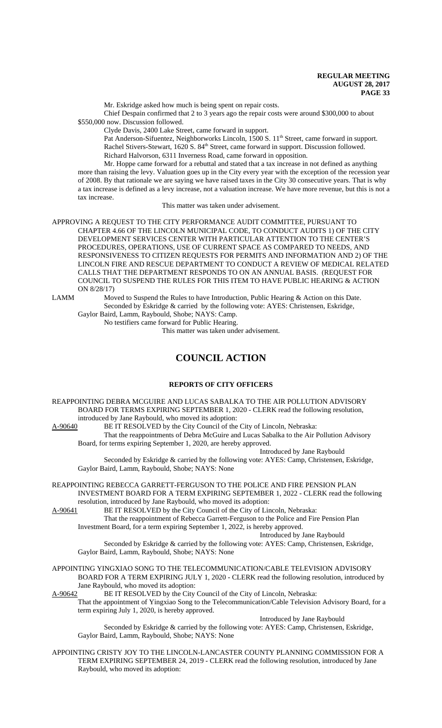Mr. Eskridge asked how much is being spent on repair costs.

Chief Despain confirmed that 2 to 3 years ago the repair costs were around \$300,000 to about \$550,000 now. Discussion followed.

Clyde Davis, 2400 Lake Street, came forward in support.

Pat Anderson-Sifuentez, Neighborworks Lincoln, 1500 S. 11<sup>th</sup> Street, came forward in support. Rachel Stivers-Stewart, 1620 S. 84<sup>th</sup> Street, came forward in support. Discussion followed. Richard Halvorson, 6311 Inverness Road, came forward in opposition.

Mr. Hoppe came forward for a rebuttal and stated that a tax increase in not defined as anything more than raising the levy. Valuation goes up in the City every year with the exception of the recession year of 2008. By that rationale we are saying we have raised taxes in the City 30 consecutive years. That is why a tax increase is defined as a levy increase, not a valuation increase. We have more revenue, but this is not a tax increase.

This matter was taken under advisement.

APPROVING A REQUEST TO THE CITY PERFORMANCE AUDIT COMMITTEE, PURSUANT TO CHAPTER 4.66 OF THE LINCOLN MUNICIPAL CODE, TO CONDUCT AUDITS 1) OF THE CITY DEVELOPMENT SERVICES CENTER WITH PARTICULAR ATTENTION TO THE CENTER'S PROCEDURES, OPERATIONS, USE OF CURRENT SPACE AS COMPARED TO NEEDS, AND RESPONSIVENESS TO CITIZEN REQUESTS FOR PERMITS AND INFORMATION AND 2) OF THE LINCOLN FIRE AND RESCUE DEPARTMENT TO CONDUCT A REVIEW OF MEDICAL RELATED CALLS THAT THE DEPARTMENT RESPONDS TO ON AN ANNUAL BASIS. (REQUEST FOR COUNCIL TO SUSPEND THE RULES FOR THIS ITEM TO HAVE PUBLIC HEARING & ACTION ON 8/28/17)

LAMM Moved to Suspend the Rules to have Introduction, Public Hearing & Action on this Date. Seconded by Eskridge & carried by the following vote: AYES: Christensen, Eskridge, Gaylor Baird, Lamm, Raybould, Shobe; NAYS: Camp.

No testifiers came forward for Public Hearing.

This matter was taken under advisement.

# **COUNCIL ACTION**

# **REPORTS OF CITY OFFICERS**

REAPPOINTING DEBRA MCGUIRE AND LUCAS SABALKA TO THE AIR POLLUTION ADVISORY BOARD FOR TERMS EXPIRING SEPTEMBER 1, 2020 - CLERK read the following resolution, introduced by Jane Raybould, who moved its adoption:<br>A-90640 BE IT RESOLVED by the City Council of the

BE IT RESOLVED by the City Council of the City of Lincoln, Nebraska:

That the reappointments of Debra McGuire and Lucas Sabalka to the Air Pollution Advisory Board, for terms expiring September 1, 2020, are hereby approved.

Introduced by Jane Raybould

Seconded by Eskridge & carried by the following vote: AYES: Camp, Christensen, Eskridge, Gaylor Baird, Lamm, Raybould, Shobe; NAYS: None

REAPPOINTING REBECCA GARRETT-FERGUSON TO THE POLICE AND FIRE PENSION PLAN INVESTMENT BOARD FOR A TERM EXPIRING SEPTEMBER 1, 2022 - CLERK read the following resolution, introduced by Jane Raybould, who moved its adoption:

A-90641 BE IT RESOLVED by the City Council of the City of Lincoln, Nebraska:

That the reappointment of Rebecca Garrett-Ferguson to the Police and Fire Pension Plan Investment Board, for a term expiring September 1, 2022, is hereby approved.

Introduced by Jane Raybould

- Seconded by Eskridge & carried by the following vote: AYES: Camp, Christensen, Eskridge, Gaylor Baird, Lamm, Raybould, Shobe; NAYS: None
- APPOINTING YINGXIAO SONG TO THE TELECOMMUNICATION/CABLE TELEVISION ADVISORY BOARD FOR A TERM EXPIRING JULY 1, 2020 - CLERK read the following resolution, introduced by Jane Raybould, who moved its adoption:
- A-90642 BE IT RESOLVED by the City Council of the City of Lincoln, Nebraska: That the appointment of Yingxiao Song to the Telecommunication/Cable Television Advisory Board, for a term expiring July 1, 2020, is hereby approved.

Introduced by Jane Raybould Seconded by Eskridge & carried by the following vote: AYES: Camp, Christensen, Eskridge,

Gaylor Baird, Lamm, Raybould, Shobe; NAYS: None

APPOINTING CRISTY JOY TO THE LINCOLN-LANCASTER COUNTY PLANNING COMMISSION FOR A TERM EXPIRING SEPTEMBER 24, 2019 - CLERK read the following resolution, introduced by Jane Raybould, who moved its adoption: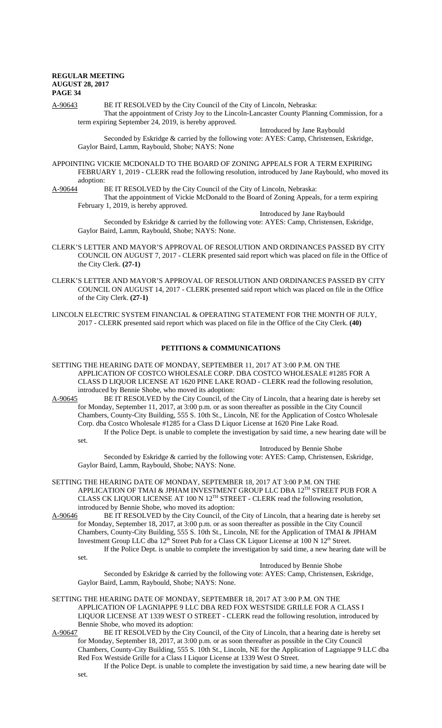A-90643 BE IT RESOLVED by the City Council of the City of Lincoln, Nebraska: That the appointment of Cristy Joy to the Lincoln-Lancaster County Planning Commission, for a term expiring September 24, 2019, is hereby approved.

Introduced by Jane Raybould Seconded by Eskridge & carried by the following vote: AYES: Camp, Christensen, Eskridge, Gaylor Baird, Lamm, Raybould, Shobe; NAYS: None

APPOINTING VICKIE MCDONALD TO THE BOARD OF ZONING APPEALS FOR A TERM EXPIRING FEBRUARY 1, 2019 - CLERK read the following resolution, introduced by Jane Raybould, who moved its adoption:

A-90644 BE IT RESOLVED by the City Council of the City of Lincoln, Nebraska:

That the appointment of Vickie McDonald to the Board of Zoning Appeals, for a term expiring February 1, 2019, is hereby approved.

Introduced by Jane Raybould Seconded by Eskridge & carried by the following vote: AYES: Camp, Christensen, Eskridge, Gaylor Baird, Lamm, Raybould, Shobe; NAYS: None.

- CLERK'S LETTER AND MAYOR'S APPROVAL OF RESOLUTION AND ORDINANCES PASSED BY CITY COUNCIL ON AUGUST 7, 2017 - CLERK presented said report which was placed on file in the Office of the City Clerk. **(27-1)**
- CLERK'S LETTER AND MAYOR'S APPROVAL OF RESOLUTION AND ORDINANCES PASSED BY CITY COUNCIL ON AUGUST 14, 2017 - CLERK presented said report which was placed on file in the Office of the City Clerk. **(27-1)**
- LINCOLN ELECTRIC SYSTEM FINANCIAL & OPERATING STATEMENT FOR THE MONTH OF JULY, 2017 - CLERK presented said report which was placed on file in the Office of the City Clerk. **(40)**

#### **PETITIONS & COMMUNICATIONS**

- SETTING THE HEARING DATE OF MONDAY, SEPTEMBER 11, 2017 AT 3:00 P.M. ON THE APPLICATION OF COSTCO WHOLESALE CORP. DBA COSTCO WHOLESALE #1285 FOR A CLASS D LIQUOR LICENSE AT 1620 PINE LAKE ROAD - CLERK read the following resolution, introduced by Bennie Shobe, who moved its adoption:<br>A-90645 BE IT RESOLVED by the City Council, of the
- BE IT RESOLVED by the City Council, of the City of Lincoln, that a hearing date is hereby set for Monday, September 11, 2017, at 3:00 p.m. or as soon thereafter as possible in the City Council Chambers, County-City Building, 555 S. 10th St., Lincoln, NE for the Application of Costco Wholesale Corp. dba Costco Wholesale #1285 for a Class D Liquor License at 1620 Pine Lake Road. If the Police Dept. is unable to complete the investigation by said time, a new hearing date will be set.

Introduced by Bennie Shobe

Seconded by Eskridge & carried by the following vote: AYES: Camp, Christensen, Eskridge, Gaylor Baird, Lamm, Raybould, Shobe; NAYS: None.

- SETTING THE HEARING DATE OF MONDAY, SEPTEMBER 18, 2017 AT 3:00 P.M. ON THE APPLICATION OF TMAI & JPHAM INVESTMENT GROUP LLC DBA 12TH STREET PUB FOR A CLASS CK LIQUOR LICENSE AT 100 N 12TH STREET - CLERK read the following resolution, introduced by Bennie Shobe, who moved its adoption:<br>A-90646 BE IT RESOLVED by the City Council, of the
- BE IT RESOLVED by the City Council, of the City of Lincoln, that a hearing date is hereby set for Monday, September 18, 2017, at 3:00 p.m. or as soon thereafter as possible in the City Council Chambers, County-City Building, 555 S. 10th St., Lincoln, NE for the Application of TMAI & JPHAM Investment Group LLC dba 12<sup>th</sup> Street Pub for a Class CK Liquor License at 100 N 12<sup>th</sup> Street. If the Police Dept. is unable to complete the investigation by said time, a new hearing date will be

set.

Introduced by Bennie Shobe

Seconded by Eskridge & carried by the following vote: AYES: Camp, Christensen, Eskridge, Gaylor Baird, Lamm, Raybould, Shobe; NAYS: None.

- SETTING THE HEARING DATE OF MONDAY, SEPTEMBER 18, 2017 AT 3:00 P.M. ON THE APPLICATION OF LAGNIAPPE 9 LLC DBA RED FOX WESTSIDE GRILLE FOR A CLASS I LIQUOR LICENSE AT 1339 WEST O STREET - CLERK read the following resolution, introduced by Bennie Shobe, who moved its adoption:<br>A-90647 BE IT RESOLVED by the City
- BE IT RESOLVED by the City Council, of the City of Lincoln, that a hearing date is hereby set for Monday, September 18, 2017, at 3:00 p.m. or as soon thereafter as possible in the City Council Chambers, County-City Building, 555 S. 10th St., Lincoln, NE for the Application of Lagniappe 9 LLC dba Red Fox Westside Grille for a Class I Liquor License at 1339 West O Street.

If the Police Dept. is unable to complete the investigation by said time, a new hearing date will be set.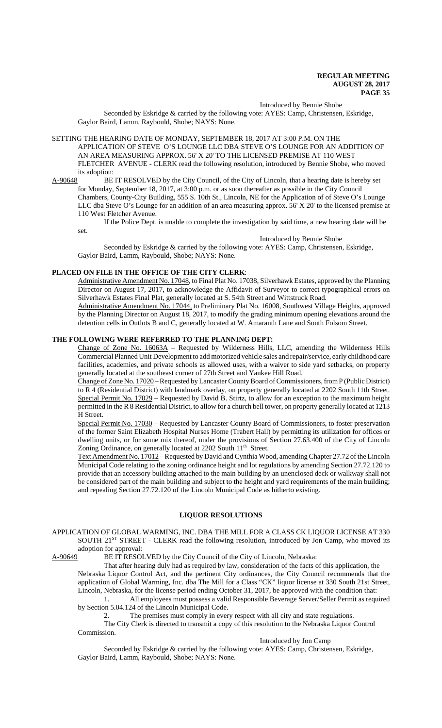#### Introduced by Bennie Shobe

Seconded by Eskridge & carried by the following vote: AYES: Camp, Christensen, Eskridge, Gaylor Baird, Lamm, Raybould, Shobe; NAYS: None.

SETTING THE HEARING DATE OF MONDAY, SEPTEMBER 18, 2017 AT 3:00 P.M. ON THE APPLICATION OF STEVE O'S LOUNGE LLC DBA STEVE O'S LOUNGE FOR AN ADDITION OF AN AREA MEASURING APPROX. 56' X 20' TO THE LICENSED PREMISE AT 110 WEST FLETCHER AVENUE - CLERK read the following resolution, introduced by Bennie Shobe, who moved its adoption:

A-90648 BE IT RESOLVED by the City Council, of the City of Lincoln, that a hearing date is hereby set for Monday, September 18, 2017, at 3:00 p.m. or as soon thereafter as possible in the City Council Chambers, County-City Building, 555 S. 10th St., Lincoln, NE for the Application of of Steve O's Lounge LLC dba Steve O's Lounge for an addition of an area measuring approx. 56' X 20' to the licensed premise at 110 West Fletcher Avenue.

If the Police Dept. is unable to complete the investigation by said time, a new hearing date will be set.

Introduced by Bennie Shobe Seconded by Eskridge & carried by the following vote: AYES: Camp, Christensen, Eskridge, Gaylor Baird, Lamm, Raybould, Shobe; NAYS: None.

# **PLACED ON FILE IN THE OFFICE OF THE CITY CLERK**:

Administrative Amendment No. 17048, to Final Plat No. 17038, Silverhawk Estates, approved by the Planning Director on August 17, 2017, to acknowledge the Affidavit of Surveyor to correct typographical errors on Silverhawk Estates Final Plat, generally located at S. 54th Street and Wittstruck Road. Administrative Amendment No. 17044, to Preliminary Plat No. 16008, Southwest Village Heights, approved

by the Planning Director on August 18, 2017, to modify the grading minimum opening elevations around the detention cells in Outlots B and C, generally located at W. Amaranth Lane and South Folsom Street.

# **THE FOLLOWING WERE REFERRED TO THE PLANNING DEPT:**

Change of Zone No. 16063A - Requested by Wilderness Hills, LLC, amending the Wilderness Hills Commercial Planned Unit Development to add motorized vehicle sales and repair/service, early childhood care facilities, academies, and private schools as allowed uses, with a waiver to side yard setbacks, on property generally located at the southeast corner of 27th Street and Yankee Hill Road.

Change of Zone No. 17020 – Requested by Lancaster County Board of Commissioners, from P (Public District) to R 4 (Residential District) with landmark overlay, on property generally located at 2202 South 11th Street. Special Permit No. 17029 – Requested by David B. Stirtz, to allow for an exception to the maximum height permitted in the R 8 Residential District, to allow for a church bell tower, on property generally located at 1213 H Street.

Special Permit No. 17030 – Requested by Lancaster County Board of Commissioners, to foster preservation of the former Saint Elizabeth Hospital Nurses Home (Trabert Hall) by permitting its utilization for offices or dwelling units, or for some mix thereof, under the provisions of Section 27.63.400 of the City of Lincoln Zoning Ordinance, on generally located at 2202 South 11<sup>th</sup> Street.

Text Amendment No. 17012 – Requested by David and Cynthia Wood, amending Chapter 27.72 of the Lincoln Municipal Code relating to the zoning ordinance height and lot regulations by amending Section 27.72.120 to provide that an accessory building attached to the main building by an unenclosed deck or walkway shall not be considered part of the main building and subject to the height and yard requirements of the main building; and repealing Section 27.72.120 of the Lincoln Municipal Code as hitherto existing.

#### **LIQUOR RESOLUTIONS**

APPLICATION OF GLOBAL WARMING, INC. DBA THE MILL FOR A CLASS CK LIQUOR LICENSE AT 330 SOUTH 21<sup>ST</sup> STREET - CLERK read the following resolution, introduced by Jon Camp, who moved its adoption for approval:

A-90649 BE IT RESOLVED by the City Council of the City of Lincoln, Nebraska:

That after hearing duly had as required by law, consideration of the facts of this application, the Nebraska Liquor Control Act, and the pertinent City ordinances, the City Council recommends that the application of Global Warming, Inc. dba The Mill for a Class "CK" liquor license at 330 South 21st Street, Lincoln, Nebraska, for the license period ending October 31, 2017, be approved with the condition that:

1. All employees must possess a valid Responsible Beverage Server/Seller Permit as required by Section 5.04.124 of the Lincoln Municipal Code.

2. The premises must comply in every respect with all city and state regulations.

The City Clerk is directed to transmit a copy of this resolution to the Nebraska Liquor Control Commission.

# Introduced by Jon Camp

Seconded by Eskridge & carried by the following vote: AYES: Camp, Christensen, Eskridge, Gaylor Baird, Lamm, Raybould, Shobe; NAYS: None.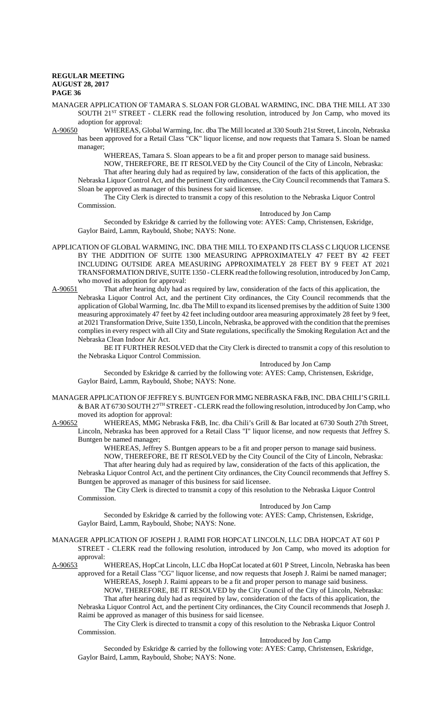MANAGER APPLICATION OF TAMARA S. SLOAN FOR GLOBAL WARMING, INC. DBA THE MILL AT 330 SOUTH 21<sup>ST</sup> STREET - CLERK read the following resolution, introduced by Jon Camp, who moved its

adoption for approval:<br>A-90650 WHEREAS. WHEREAS, Global Warming, Inc. dba The Mill located at 330 South 21st Street, Lincoln, Nebraska has been approved for a Retail Class "CK" liquor license, and now requests that Tamara S. Sloan be named manager;

> WHEREAS, Tamara S. Sloan appears to be a fit and proper person to manage said business. NOW, THEREFORE, BE IT RESOLVED by the City Council of the City of Lincoln, Nebraska:

That after hearing duly had as required by law, consideration of the facts of this application, the Nebraska Liquor Control Act, and the pertinent City ordinances, the City Council recommends that Tamara S. Sloan be approved as manager of this business for said licensee.

The City Clerk is directed to transmit a copy of this resolution to the Nebraska Liquor Control Commission.

#### Introduced by Jon Camp

Seconded by Eskridge & carried by the following vote: AYES: Camp, Christensen, Eskridge, Gaylor Baird, Lamm, Raybould, Shobe; NAYS: None.

- APPLICATION OF GLOBAL WARMING, INC. DBA THE MILL TO EXPAND ITS CLASS C LIQUOR LICENSE BY THE ADDITION OF SUITE 1300 MEASURING APPROXIMATELY 47 FEET BY 42 FEET INCLUDING OUTSIDE AREA MEASURING APPROXIMATELY 28 FEET BY 9 FEET AT 2021 TRANSFORMATION DRIVE, SUITE 1350 - CLERK read the following resolution, introduced by Jon Camp, who moved its adoption for approval:
- A-90651 That after hearing duly had as required by law, consideration of the facts of this application, the Nebraska Liquor Control Act, and the pertinent City ordinances, the City Council recommends that the application of Global Warming, Inc. dba The Mill to expand its licensed premises by the addition of Suite 1300 measuring approximately 47 feet by 42 feet including outdoor area measuring approximately 28 feet by 9 feet, at 2021 Transformation Drive, Suite 1350, Lincoln, Nebraska, be approved with the condition that the premises complies in every respect with all City and State regulations, specifically the Smoking Regulation Act and the Nebraska Clean Indoor Air Act.

BE IT FURTHER RESOLVED that the City Clerk is directed to transmit a copy of this resolution to the Nebraska Liquor Control Commission.

#### Introduced by Jon Camp

Seconded by Eskridge & carried by the following vote: AYES: Camp, Christensen, Eskridge, Gaylor Baird, Lamm, Raybould, Shobe; NAYS: None.

MANAGER APPLICATION OF JEFFREY S. BUNTGEN FOR MMG NEBRASKA F&B, INC. DBA CHILI'S GRILL & BAR AT 6730 SOUTH 27TH STREET - CLERK read the following resolution, introduced by Jon Camp, who moved its adoption for approval:<br>A-90652 WHEREAS, MMG Net

WHEREAS, MMG Nebraska F&B, Inc. dba Chili's Grill & Bar located at 6730 South 27th Street, Lincoln, Nebraska has been approved for a Retail Class "I" liquor license, and now requests that Jeffrey S. Buntgen be named manager;

> WHEREAS, Jeffrey S. Buntgen appears to be a fit and proper person to manage said business. NOW, THEREFORE, BE IT RESOLVED by the City Council of the City of Lincoln, Nebraska: That after hearing duly had as required by law, consideration of the facts of this application, the

Nebraska Liquor Control Act, and the pertinent City ordinances, the City Council recommends that Jeffrey S. Buntgen be approved as manager of this business for said licensee.

The City Clerk is directed to transmit a copy of this resolution to the Nebraska Liquor Control Commission.

## Introduced by Jon Camp

Seconded by Eskridge & carried by the following vote: AYES: Camp, Christensen, Eskridge, Gaylor Baird, Lamm, Raybould, Shobe; NAYS: None.

#### MANAGER APPLICATION OF JOSEPH J. RAIMI FOR HOPCAT LINCOLN, LLC DBA HOPCAT AT 601 P STREET - CLERK read the following resolution, introduced by Jon Camp, who moved its adoption for approval:

A-90653 WHEREAS, HopCat Lincoln, LLC dba HopCat located at 601 P Street, Lincoln, Nebraska has been approved for a Retail Class "CG" liquor license, and now requests that Joseph J. Raimi be named manager; WHEREAS, Joseph J. Raimi appears to be a fit and proper person to manage said business. NOW, THEREFORE, BE IT RESOLVED by the City Council of the City of Lincoln, Nebraska:

That after hearing duly had as required by law, consideration of the facts of this application, the Nebraska Liquor Control Act, and the pertinent City ordinances, the City Council recommends that Joseph J. Raimi be approved as manager of this business for said licensee.

The City Clerk is directed to transmit a copy of this resolution to the Nebraska Liquor Control Commission.

#### Introduced by Jon Camp

Seconded by Eskridge & carried by the following vote: AYES: Camp, Christensen, Eskridge, Gaylor Baird, Lamm, Raybould, Shobe; NAYS: None.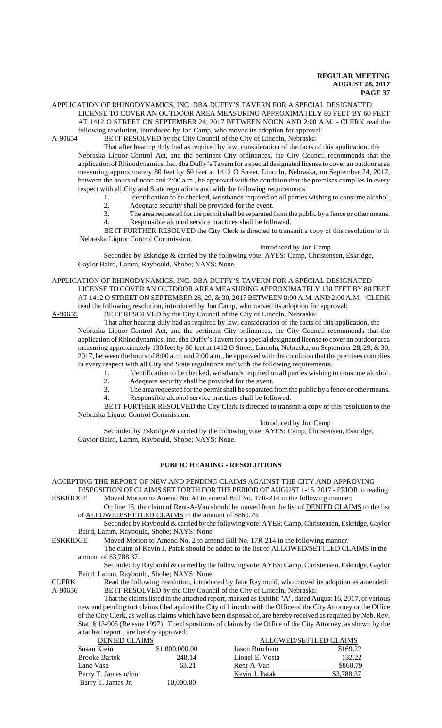APPLICATION OF RHINODYNAMICS, INC. DBA DUFFY'S TAVERN FOR A SPECIAL DESIGNATED LICENSE TO COVER AN OUTDOOR AREA MEASURING APPROXIMATELY 80 FEET BY 60 FEET AT 1412 O STREET ON SEPTEMBER 24, 2017 BETWEEN NOON AND 2:00 A.M. - CLERK read the

following resolution, introduced by Jon Camp, who moved its adoption for approval:<br>A-90654 BE IT RESOLVED by the City Council of the City of Lincoln. Nebraska:

BE IT RESOLVED by the City Council of the City of Lincoln, Nebraska:

That after hearing duly had as required by law, consideration of the facts of this application, the Nebraska Liquor Control Act, and the pertinent City ordinances, the City Council recommends that the application of Rhinodynamics, Inc. dba Duffy's Tavern for a special designated license to cover an outdoor area measuring approximately 80 feet by 60 feet at 1412 O Street, Lincoln, Nebraska, on September 24, 2017, between the hours of noon and 2:00 a.m., be approved with the condition that the premises complies in every respect with all City and State regulations and with the following requirements:

- 1. Identification to be checked, wristbands required on all parties wishing to consume alcohol.<br>2. Adequate security shall be provided for the event.
- 2. Adequate security shall be provided for the event.<br>3. The area requested for the permit shall be separated to
- The area requested for the permit shall be separated from the public by a fence or other means.
- 4. Responsible alcohol service practices shall be followed.

BE IT FURTHER RESOLVED the City Clerk is directed to transmit a copy of this resolution to th Nebraska Liquor Control Commission.

### Introduced by Jon Camp

Seconded by Eskridge & carried by the following vote: AYES: Camp, Christensen, Eskridge, Gaylor Baird, Lamm, Raybould, Shobe; NAYS: None.

APPLICATION OF RHINODYNAMICS, INC. DBA DUFFY'S TAVERN FOR A SPECIAL DESIGNATED LICENSE TO COVER AN OUTDOOR AREA MEASURING APPROXIMATELY 130 FEET BY 80 FEET AT 1412 O STREET ON SEPTEMBER 28, 29, & 30, 2017 BETWEEN 8:00 A.M. AND 2:00 A.M. - CLERK read the following resolution, introduced by Jon Camp, who moved its adoption for approval:<br>A-90655 BE IT RESOLVED by the City Council of the City of Lincoln, Nebraska:

BE IT RESOLVED by the City Council of the City of Lincoln, Nebraska:

That after hearing duly had as required by law, consideration of the facts of this application, the Nebraska Liquor Control Act, and the pertinent City ordinances, the City Council recommends that the application of Rhinodynamics, Inc. dba Duffy's Tavern for a special designated license to cover an outdoor area measuring approximately 130 feet by 80 feet at 1412 O Street, Lincoln, Nebraska, on September 28, 29, & 30, 2017, between the hours of 8:00 a.m. and 2:00 a.m., be approved with the condition that the premises complies in every respect with all City and State regulations and with the following requirements:

- 1. Identification to be checked, wristbands required on all parties wishing to consume alcohol.<br>2. Adequate security shall be provided for the event.
- 2. Adequate security shall be provided for the event.<br>3. The area requested for the permit shall be separated
- The area requested for the permit shall be separated from the public by a fence or other means.
- 4. Responsible alcohol service practices shall be followed.

BE IT FURTHER RESOLVED the City Clerk is directed to transmit a copy of this resolution to the Nebraska Liquor Control Commission.

# Introduced by Jon Camp

Seconded by Eskridge & carried by the following vote: AYES: Camp, Christensen, Eskridge, Gaylor Baird, Lamm, Raybould, Shobe; NAYS: None.

# **PUBLIC HEARING - RESOLUTIONS**

# ACCEPTING THE REPORT OF NEW AND PENDING CLAIMS AGAINST THE CITY AND APPROVING

DISPOSITION OF CLAIMS SET FORTH FOR THE PERIOD OF AUGUST 1-15, 2017 - PRIOR to reading: ESKRIDGE Moved Motion to Amend No. #1 to amend Bill No. 17R-214 in the following manner:

On line 15, the claim of Rent-A-Van should be moved from the list of DENIED CLAIMS to the list of ALLOWED/SETTLED CLAIMS in the amount of \$860.79.

Seconded by Raybould & carried by the following vote: AYES: Camp, Christensen, Eskridge, Gaylor Baird, Lamm, Raybould, Shobe; NAYS: None.

ESKRIDGE Moved Motion to Amend No. 2 to amend Bill No. 17R-214 in the following manner:

The claim of Kevin J. Patak should be added to the list of **ALLOWED/SETTLED CLAIMS** in the amount of \$3,788.37.

Seconded by Raybould & carried by the following vote: AYES: Camp, Christensen, Eskridge, Gaylor Baird, Lamm, Raybould, Shobe; NAYS: None.

CLERK Read the following resolution, introduced by Jane Raybould, who moved its adoption as amended: A-90656 BE IT RESOLVED by the City Council of the City of Lincoln, Nebraska:

That the claims listed in the attached report, marked as Exhibit "A", dated August 16, 2017, of various new and pending tort claims filed against the City of Lincoln with the Office of the City Attorney or the Office of the City Clerk, as well as claims which have been disposed of, are hereby received as required by Neb. Rev. Stat. § 13-905 (Reissue 1997). The dispositions of claims by the Office of the City Attorney, as shown by the attached report, are hereby approved:

| <b>DENIED CLAIMS</b> |                | ALLOWED/SETTLED CLAIMS |            |  |
|----------------------|----------------|------------------------|------------|--|
| Susan Klein          | \$1,000,000.00 | Jason Burcham          | \$169.22   |  |
| Brooke Bartek        | 248.14         | Lionel E. Vosta        | 132.22     |  |
| Lane Vasa            | 63.21          | Rent-A-Van             | \$860.79   |  |
| Barry T. James o/b/o |                | Kevin J. Patak         | \$3,788.37 |  |
| Barry T. James Jr.   | 10.000.00      |                        |            |  |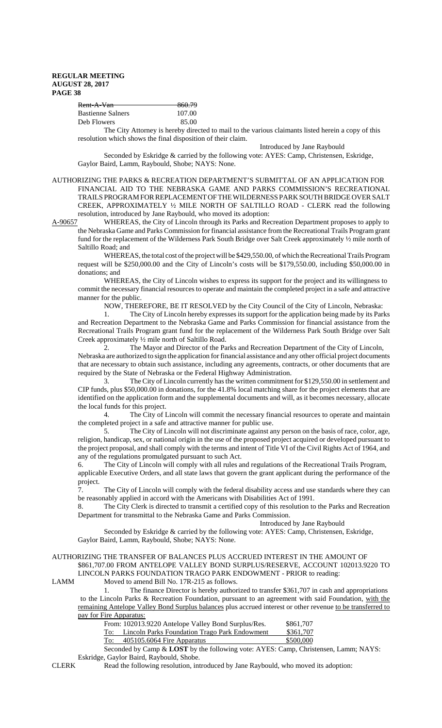| <del>Rent-A-Van-</del> | 860.79 |
|------------------------|--------|
|                        |        |
| Bastienne Salners      | 107.00 |
| Deb Flowers            | 85.00  |

The City Attorney is hereby directed to mail to the various claimants listed herein a copy of this resolution which shows the final disposition of their claim.

Introduced by Jane Raybould

Seconded by Eskridge & carried by the following vote: AYES: Camp, Christensen, Eskridge, Gaylor Baird, Lamm, Raybould, Shobe; NAYS: None.

AUTHORIZING THE PARKS & RECREATION DEPARTMENT'S SUBMITTAL OF AN APPLICATION FOR FINANCIAL AID TO THE NEBRASKA GAME AND PARKS COMMISSION'S RECREATIONAL TRAILS PROGRAM FOR REPLACEMENT OF THE WILDERNESS PARK SOUTH BRIDGE OVER SALT CREEK, APPROXIMATELY ½ MILE NORTH OF SALTILLO ROAD - CLERK read the following resolution, introduced by Jane Raybould, who moved its adoption:

A-90657 WHEREAS, the City of Lincoln through its Parks and Recreation Department proposes to apply to the Nebraska Game and Parks Commission for financial assistance from the Recreational Trails Program grant fund for the replacement of the Wilderness Park South Bridge over Salt Creek approximately ½ mile north of Saltillo Road; and

WHEREAS, the total cost of the project will be \$429,550.00, of which the Recreational Trails Program request will be \$250,000.00 and the City of Lincoln's costs will be \$179,550.00, including \$50,000.00 in donations; and

WHEREAS, the City of Lincoln wishes to express its support for the project and its willingness to commit the necessary financial resources to operate and maintain the completed project in a safe and attractive manner for the public.

NOW, THEREFORE, BE IT RESOLVED by the City Council of the City of Lincoln, Nebraska:

1. The City of Lincoln hereby expresses its support for the application being made by its Parks and Recreation Department to the Nebraska Game and Parks Commission for financial assistance from the Recreational Trails Program grant fund for the replacement of the Wilderness Park South Bridge over Salt Creek approximately ½ mile north of Saltillo Road.

2. The Mayor and Director of the Parks and Recreation Department of the City of Lincoln, Nebraska are authorized to sign the application for financial assistance and any other official project documents that are necessary to obtain such assistance, including any agreements, contracts, or other documents that are required by the State of Nebraska or the Federal Highway Administration.

The City of Lincoln currently has the written commitment for \$129,550.00 in settlement and CIP funds, plus \$50,000.00 in donations, for the 41.8% local matching share for the project elements that are identified on the application form and the supplemental documents and will, as it becomes necessary, allocate the local funds for this project.

4. The City of Lincoln will commit the necessary financial resources to operate and maintain the completed project in a safe and attractive manner for public use.

5. The City of Lincoln will not discriminate against any person on the basis of race, color, age, religion, handicap, sex, or national origin in the use of the proposed project acquired or developed pursuant to the project proposal, and shall comply with the terms and intent of Title VI of the Civil Rights Act of 1964, and any of the regulations promulgated pursuant to such Act.

6. The City of Lincoln will comply with all rules and regulations of the Recreational Trails Program, applicable Executive Orders, and all state laws that govern the grant applicant during the performance of the project.

7. The City of Lincoln will comply with the federal disability access and use standards where they can be reasonably applied in accord with the Americans with Disabilities Act of 1991.

8. The City Clerk is directed to transmit a certified copy of this resolution to the Parks and Recreation Department for transmittal to the Nebraska Game and Parks Commission.

Introduced by Jane Raybould

Seconded by Eskridge & carried by the following vote: AYES: Camp, Christensen, Eskridge, Gaylor Baird, Lamm, Raybould, Shobe; NAYS: None.

### AUTHORIZING THE TRANSFER OF BALANCES PLUS ACCRUED INTEREST IN THE AMOUNT OF \$861,707.00 FROM ANTELOPE VALLEY BOND SURPLUS/RESERVE, ACCOUNT 102013.9220 TO LINCOLN PARKS FOUNDATION TRAGO PARK ENDOWMENT - PRIOR to reading:

LAMM Moved to amend Bill No. 17R-215 as follows.

1. The finance Director is hereby authorized to transfer \$361,707 in cash and appropriations to the Lincoln Parks & Recreation Foundation, pursuant to an agreement with said Foundation, with the remaining Antelope Valley Bond Surplus balances plus accrued interest or other revenue to be transferred to pay for Fire Apparatus:

|            | From: 102013.9220 Antelope Valley Bond Surplus/Res. | \$861,707 |
|------------|-----------------------------------------------------|-----------|
| To:        | Lincoln Parks Foundation Trago Park Endowment       | \$361,707 |
| <u>To:</u> | 405105.6064 Fire Apparatus                          | \$500,000 |

Seconded by Camp & **LOST** by the following vote: AYES: Camp, Christensen, Lamm; NAYS: Eskridge, Gaylor Baird, Raybould, Shobe.

CLERK Read the following resolution, introduced by Jane Raybould, who moved its adoption: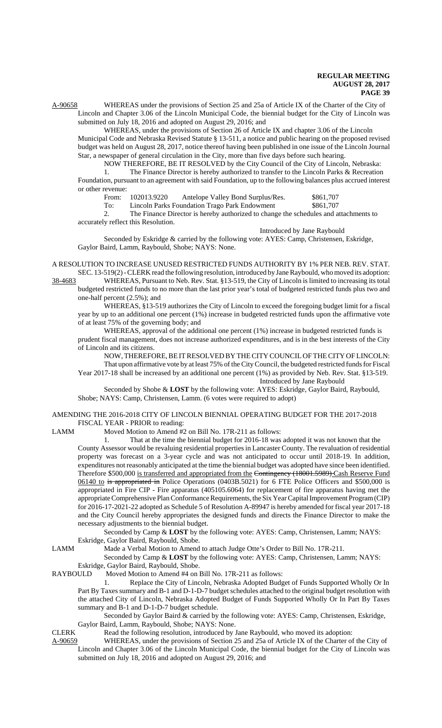A-90658 WHEREAS under the provisions of Section 25 and 25a of Article IX of the Charter of the City of Lincoln and Chapter 3.06 of the Lincoln Municipal Code, the biennial budget for the City of Lincoln was submitted on July 18, 2016 and adopted on August 29, 2016; and

WHEREAS, under the provisions of Section 26 of Article IX and chapter 3.06 of the Lincoln Municipal Code and Nebraska Revised Statute § 13-511, a notice and public hearing on the proposed revised budget was held on August 28, 2017, notice thereof having been published in one issue of the Lincoln Journal Star, a newspaper of general circulation in the City, more than five days before such hearing.

NOW THEREFORE, BE IT RESOLVED by the City Council of the City of Lincoln, Nebraska: 1. The Finance Director is hereby authorized to transfer to the Lincoln Parks & Recreation

Foundation, pursuant to an agreement with said Foundation, up to the following balances plus accrued interest or other revenue:

| LIUVUIIUU. |             |                                               |           |  |  |
|------------|-------------|-----------------------------------------------|-----------|--|--|
| From:      | 102013.9220 | Antelope Valley Bond Surplus/Res.             | \$861,707 |  |  |
| To:        |             | Lincoln Parks Foundation Trago Park Endowment | \$861,707 |  |  |

2. The Finance Director is hereby authorized to change the schedules and attachments to accurately reflect this Resolution.

Introduced by Jane Raybould

Seconded by Eskridge & carried by the following vote: AYES: Camp, Christensen, Eskridge, Gaylor Baird, Lamm, Raybould, Shobe; NAYS: None.

A RESOLUTION TO INCREASE UNUSED RESTRICTED FUNDS AUTHORITY BY 1% PER NEB. REV. STAT. SEC. 13-519(2) - CLERK read the following resolution, introduced by Jane Raybould, who moved its adoption:

38-4683 WHEREAS, Pursuant to Neb. Rev. Stat. §13-519, the City of Lincoln is limited to increasing its total budgeted restricted funds to no more than the last prior year's total of budgeted restricted funds plus two and one-half percent (2.5%); and

WHEREAS, §13-519 authorizes the City of Lincoln to exceed the foregoing budget limit for a fiscal year by up to an additional one percent (1%) increase in budgeted restricted funds upon the affirmative vote of at least 75% of the governing body; and

WHEREAS, approval of the additional one percent (1%) increase in budgeted restricted funds is prudent fiscal management, does not increase authorized expenditures, and is in the best interests of the City of Lincoln and its citizens.

NOW, THEREFORE, BE IT RESOLVED BY THE CITY COUNCIL OF THE CITY OF LINCOLN:

That upon affirmative vote by at least 75% of the City Council, the budgeted restricted funds for Fiscal Year 2017-18 shall be increased by an additional one percent (1%) as provided by Neb. Rev. Stat. §13-519.

Introduced by Jane Raybould

Seconded by Shobe & **LOST** by the following vote: AYES: Eskridge, Gaylor Baird, Raybould, Shobe; NAYS: Camp, Christensen, Lamm. (6 votes were required to adopt)

AMENDING THE 2016-2018 CITY OF LINCOLN BIENNIAL OPERATING BUDGET FOR THE 2017-2018 FISCAL YEAR - PRIOR to reading:

LAMM Moved Motion to Amend #2 on Bill No. 17R-211 as follows:

1. That at the time the biennial budget for 2016-18 was adopted it was not known that the County Assessor would be revaluing residential properties in Lancaster County. The revaluation of residential property was forecast on a 3-year cycle and was not anticipated to occur until 2018-19. In addition, expenditures not reasonably anticipated at the time the biennial budget was adopted have since been identified. Therefore \$500,000 is transferred and appropriated from the Contingency (18001.5989) Cash Reserve Fund 06140 to is appropriated in Police Operations (0403B.5021) for 6 FTE Police Officers and \$500,000 is appropriated in Fire CIP - Fire apparatus (405105.6064) for replacement of fire apparatus having met the appropriate Comprehensive Plan Conformance Requirements, the Six Year Capital Improvement Program (CIP) for 2016-17-2021-22 adopted as Schedule 5 of Resolution A-89947 is hereby amended for fiscal year 2017-18 and the City Council hereby appropriates the designed funds and directs the Finance Director to make the necessary adjustments to the biennial budget.

Seconded by Camp & **LOST** by the following vote: AYES: Camp, Christensen, Lamm; NAYS: Eskridge, Gaylor Baird, Raybould, Shobe.

LAMM Made a Verbal Motion to Amend to attach Judge Otte's Order to Bill No. 17R-211.

Seconded by Camp & **LOST** by the following vote: AYES: Camp, Christensen, Lamm; NAYS:

Eskridge, Gaylor Baird, Raybould, Shobe.<br>RAYBOULD Moved Motion to Amend #4 on l Moved Motion to Amend #4 on Bill No. 17R-211 as follows:

1. Replace the City of Lincoln, Nebraska Adopted Budget of Funds Supported Wholly Or In Part By Taxes summary and B-1 and D-1-D-7 budget schedules attached to the original budget resolution with the attached City of Lincoln, Nebraska Adopted Budget of Funds Supported Wholly Or In Part By Taxes summary and B-1 and D-1-D-7 budget schedule.

Seconded by Gaylor Baird & carried by the following vote: AYES: Camp, Christensen, Eskridge, Gaylor Baird, Lamm, Raybould, Shobe; NAYS: None.

CLERK Read the following resolution, introduced by Jane Raybould, who moved its adoption:<br>A-90659 WHEREAS, under the provisions of Section 25 and 25a of Article IX of the Charter of WHEREAS, under the provisions of Section 25 and 25a of Article IX of the Charter of the City of Lincoln and Chapter 3.06 of the Lincoln Municipal Code, the biennial budget for the City of Lincoln was submitted on July 18, 2016 and adopted on August 29, 2016; and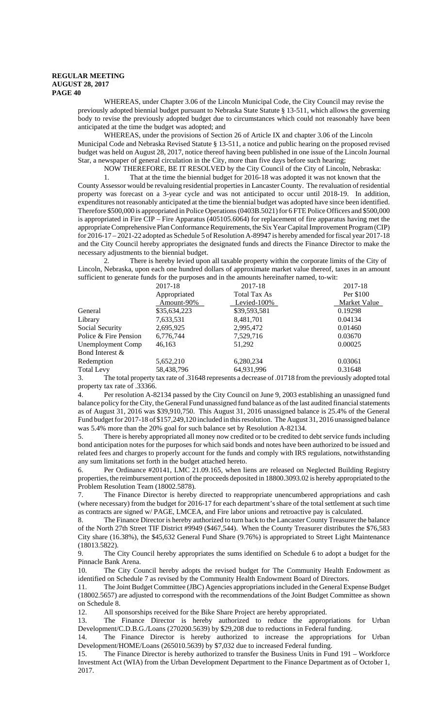WHEREAS, under Chapter 3.06 of the Lincoln Municipal Code, the City Council may revise the previously adopted biennial budget pursuant to Nebraska State Statute § 13-511, which allows the governing body to revise the previously adopted budget due to circumstances which could not reasonably have been anticipated at the time the budget was adopted; and

WHEREAS, under the provisions of Section 26 of Article IX and chapter 3.06 of the Lincoln Municipal Code and Nebraska Revised Statute § 13-511, a notice and public hearing on the proposed revised budget was held on August 28, 2017, notice thereof having been published in one issue of the Lincoln Journal Star, a newspaper of general circulation in the City, more than five days before such hearing;

NOW THEREFORE, BE IT RESOLVED by the City Council of the City of Lincoln, Nebraska:

1. That at the time the biennial budget for 2016-18 was adopted it was not known that the County Assessor would be revaluing residential properties in Lancaster County. The revaluation of residential property was forecast on a 3-year cycle and was not anticipated to occur until 2018-19. In addition, expenditures not reasonably anticipated at the time the biennial budget was adopted have since been identified. Therefore \$500,000 is appropriated in Police Operations (0403B.5021) for 6 FTE Police Officers and \$500,000 is appropriated in Fire CIP – Fire Apparatus (405105.6064) for replacement of fire apparatus having met the appropriate Comprehensive Plan Conformance Requirements, the Six Year Capital Improvement Program (CIP) for 2016-17 – 2021-22 adopted as Schedule 5 of Resolution A-89947 is hereby amended for fiscal year 2017-18 and the City Council hereby appropriates the designated funds and directs the Finance Director to make the necessary adjustments to the biennial budget.

2. There is hereby levied upon all taxable property within the corporate limits of the City of Lincoln, Nebraska, upon each one hundred dollars of approximate market value thereof, taxes in an amount sufficient to generate funds for the purposes and in the amounts hereinafter named, to-wit:

|                       | 2017-18      | 2017-18                                                                                                  | 2017-18      |
|-----------------------|--------------|----------------------------------------------------------------------------------------------------------|--------------|
|                       | Appropriated | Total Tax As                                                                                             | Per \$100    |
|                       | Amount-90%   | Levied-100%                                                                                              | Market Value |
| General               | \$35,634,223 | \$39,593,581                                                                                             | 0.19298      |
| Library               | 7,633,531    | 8,481,701                                                                                                | 0.04134      |
| Social Security       | 2,695,925    | 2,995,472                                                                                                | 0.01460      |
| Police & Fire Pension | 6,776,744    | 7,529,716                                                                                                | 0.03670      |
| Unemployment Comp     | 46,163       | 51,292                                                                                                   | 0.00025      |
| Bond Interest &       |              |                                                                                                          |              |
| Redemption            | 5,652,210    | 6,280,234                                                                                                | 0.03061      |
| <b>Total Levy</b>     | 58,438,796   | 64,931,996                                                                                               | 0.31648      |
|                       |              | The total property tax rate of $31648$ represents a decrease of $01718$ from the previously adopted tota |              |

3. The total property tax rate of .31648 represents a decrease of .01718 from the previously adopted total property tax rate of .33366.

4. Per resolution A-82134 passed by the City Council on June 9, 2003 establishing an unassigned fund balance policy for the City, the General Fund unassigned fund balance as of the last audited financial statements as of August 31, 2016 was \$39,910,750. This August 31, 2016 unassigned balance is 25.4% of the General Fund budget for 2017-18 of \$157,249,120 included in this resolution. The August 31, 2016 unassigned balance was 5.4% more than the 20% goal for such balance set by Resolution A-82134.

5. There is hereby appropriated all money now credited or to be credited to debt service funds including bond anticipation notes for the purposes for which said bonds and notes have been authorized to be issued and related fees and charges to properly account for the funds and comply with IRS regulations, notwithstanding any sum limitations set forth in the budget attached hereto.

6. Per Ordinance #20141, LMC 21.09.165, when liens are released on Neglected Building Registry properties, the reimbursement portion of the proceeds deposited in 18800.3093.02 is hereby appropriated to the Problem Resolution Team (18002.5878).

7. The Finance Director is hereby directed to reappropriate unencumbered appropriations and cash (where necessary) from the budget for 2016-17 for each department's share of the total settlement at such time as contracts are signed w/ PAGE, LMCEA, and Fire labor unions and retroactive pay is calculated.

8. The Finance Director is hereby authorized to turn back to the Lancaster County Treasurer the balance of the North 27th Street TIF District #9949 (\$467,544). When the County Treasurer distributes the \$76,583 City share (16.38%), the \$45,632 General Fund Share (9.76%) is appropriated to Street Light Maintenance (18013.5822).

9. The City Council hereby appropriates the sums identified on Schedule 6 to adopt a budget for the Pinnacle Bank Arena.

10. The City Council hereby adopts the revised budget for The Community Health Endowment as identified on Schedule 7 as revised by the Community Health Endowment Board of Directors.

11. The Joint Budget Committee (JBC) Agencies appropriations included in the General Expense Budget (18002.5657) are adjusted to correspond with the recommendations of the Joint Budget Committee as shown on Schedule 8.

12. All sponsorships received for the Bike Share Project are hereby appropriated.

13. The Finance Director is hereby authorized to reduce the appropriations for Urban Development/C.D.B.G./Loans (270200.5639) by \$29,208 due to reductions in Federal funding.

14. The Finance Director is hereby authorized to increase the appropriations for Urban Development/HOME/Loans (265010.5639) by \$7,032 due to increased Federal funding.

15. The Finance Director is hereby authorized to transfer the Business Units in Fund 191 – Workforce Investment Act (WIA) from the Urban Development Department to the Finance Department as of October 1, 2017.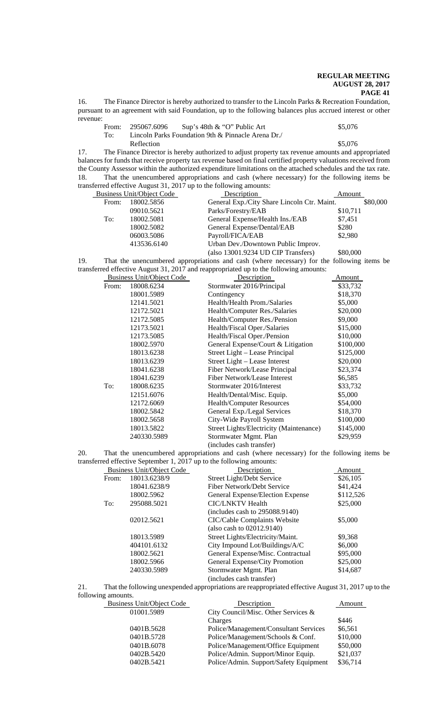16. The Finance Director is hereby authorized to transfer to the Lincoln Parks & Recreation Foundation, pursuant to an agreement with said Foundation, up to the following balances plus accrued interest or other revenue:

|     | From: 295067.6096 | Sup's 48th $\&$ "O" Public Art                     | \$5,076 |
|-----|-------------------|----------------------------------------------------|---------|
| To: |                   | Lincoln Parks Foundation 9th & Pinnacle Arena Dr./ |         |
|     | Reflection        |                                                    | \$5,076 |

17. The Finance Director is hereby authorized to adjust property tax revenue amounts and appropriated balances for funds that receive property tax revenue based on final certified property valuations received from the County Assessor within the authorized expenditure limitations on the attached schedules and the tax rate. 18. That the unencumbered appropriations and cash (where necessary) for the following items be transferred effective August 31, 2017 up to the following amounts:

| <b>Business Unit/Object Code</b> |             | Description                                 | Amount   |          |
|----------------------------------|-------------|---------------------------------------------|----------|----------|
| From:                            | 18002.5856  | General Exp./City Share Lincoln Ctr. Maint. |          | \$80,000 |
|                                  | 09010.5621  | Parks/Forestry/EAB                          | \$10,711 |          |
| To:                              | 18002.5081  | General Expense/Health Ins./EAB             | \$7,451  |          |
|                                  | 18002.5082  | General Expense/Dental/EAB                  | \$280    |          |
|                                  | 06003.5086  | Payroll/FICA/EAB                            | \$2,980  |          |
|                                  | 413536.6140 | Urban Dev./Downtown Public Improv.          |          |          |
|                                  |             | (also 13001.9234 UD CIP Transfers)          | \$80,000 |          |

19. That the unencumbered appropriations and cash (where necessary) for the following items be transferred effective August 31, 2017 and reappropriated up to the following amounts:

|       | <b>Business Unit/Object Code</b> | Description                                       | Amount    |
|-------|----------------------------------|---------------------------------------------------|-----------|
| From: | 18008.6234                       | Stormwater 2016/Principal                         | \$33,732  |
|       | 18001.5989                       | Contingency                                       | \$18,370  |
|       | 12141.5021                       | Health/Health Prom./Salaries                      | \$5,000   |
|       | 12172.5021                       | Health/Computer Res./Salaries                     | \$20,000  |
|       | 12172.5085                       | Health/Computer Res./Pension                      | \$9,000   |
|       | 12173.5021                       | Health/Fiscal Oper./Salaries                      | \$15,000  |
|       | 12173.5085                       | Health/Fiscal Oper./Pension                       | \$10,000  |
|       | 18002.5970                       | General Expense/Court & Litigation                | \$100,000 |
|       | 18013.6238                       | Street Light – Lease Principal                    | \$125,000 |
|       | 18013.6239                       | Street Light - Lease Interest                     | \$20,000  |
|       | 18041.6238                       | Fiber Network/Lease Principal                     | \$23,374  |
|       | 18041.6239                       | Fiber Network/Lease Interest                      | \$6,585   |
| To:   | 18008.6235                       | Stormwater 2016/Interest                          | \$33,732  |
|       | 12151.6076                       | Health/Dental/Misc. Equip.                        | \$5,000   |
|       | 12172.6069                       | Health/Computer Resources                         | \$54,000  |
|       | 18002.5842                       | General Exp./Legal Services                       | \$18,370  |
|       | 18002.5658                       | City-Wide Payroll System                          | \$100,000 |
|       | 18013.5822                       | Street Lights/Electricity (Maintenance)           | \$145,000 |
|       | 240330.5989                      | Stormwater Mgmt. Plan<br>(includes cash transfer) | \$29,959  |

20. That the unencumbered appropriations and cash (where necessary) for the following items be transferred effective September 1, 2017 up to the following amounts: transferred effective September 1,  $2017$ 

|       |                           | ed effective september $\frac{1}{2}$ , $\frac{201}{1}$ up to the following amounts. |           |
|-------|---------------------------|-------------------------------------------------------------------------------------|-----------|
|       | Business Unit/Object Code | Description                                                                         | Amount    |
| From: | 18013.6238/9              | Street Light/Debt Service                                                           | \$26,105  |
|       | 18041.6238/9              | Fiber Network/Debt Service                                                          | \$41,424  |
|       | 18002.5962                | General Expense/Election Expense                                                    | \$112,526 |
| To:   | 295088.5021               | <b>CIC/LNKTV Health</b>                                                             | \$25,000  |
|       |                           | (includes cash to 295088.9140)                                                      |           |
|       | 02012.5621                | CIC/Cable Complaints Website                                                        | \$5,000   |
|       |                           | (also cash to 02012.9140)                                                           |           |
|       | 18013.5989                | Street Lights/Electricity/Maint.                                                    | \$9,368   |
|       | 404101.6132               | City Impound Lot/Buildings/A/C                                                      | \$6,000   |
|       | 18002.5621                | General Expense/Misc. Contractual                                                   | \$95,000  |
|       | 18002.5966                | General Expense/City Promotion                                                      | \$25,000  |
|       | 240330.5989               | Stormwater Mgmt. Plan                                                               | \$14,687  |
|       |                           | (includes cash transfer)                                                            |           |

21. That the following unexpended appropriations are reappropriated effective August 31, 2017 up to the

following amounts. Business Unit/Object Code Description Description Amount Amount City Council/Misc. Other Services & City Council/Misc. Other Services & Charges \$446<br>Police/Management/Consultant Services \$6,561 0401B.5628 Police/Management/Consultant Services 0401B.5728 Police/Management/Schools & Conf. \$10,000<br>0401B.6078 Police/Management/Office Equipment \$50,000 Police/Management/Office Equipment 0402B.5420 Police/Admin. Support/Minor Equip. \$21,037 0402B.5421 Police/Admin. Support/Safety Equipment \$36,714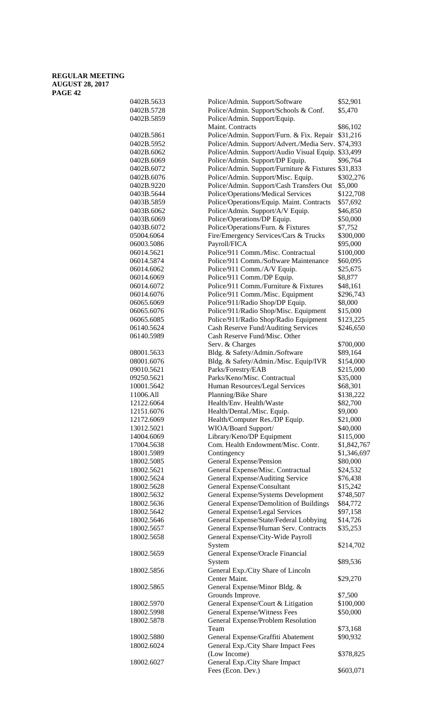| 0402B.5633 | Police/Admin. Support/Software                      | \$52,901    |
|------------|-----------------------------------------------------|-------------|
| 0402B.5728 | Police/Admin. Support/Schools & Conf.               | \$5,470     |
| 0402B.5859 | Police/Admin. Support/Equip.                        |             |
|            | Maint. Contracts                                    | \$86,102    |
| 0402B.5861 | Police/Admin. Support/Furn. & Fix. Repair           | \$31,216    |
| 0402B.5952 | Police/Admin. Support/Advert./Media Serv.           | \$74,393    |
|            |                                                     |             |
| 0402B.6062 | Police/Admin. Support/Audio Visual Equip. \$33,499  |             |
| 0402B.6069 | Police/Admin. Support/DP Equip.                     | \$96,764    |
| 0402B.6072 | Police/Admin. Support/Furniture & Fixtures \$31,833 |             |
| 0402B.6076 | Police/Admin. Support/Misc. Equip.                  | \$302,276   |
| 0402B.9220 | Police/Admin. Support/Cash Transfers Out            | \$5,000     |
| 0403B.5644 | Police/Operations/Medical Services                  | \$122,708   |
| 0403B.5859 | Police/Operations/Equip. Maint. Contracts           | \$57,692    |
| 0403B.6062 | Police/Admin. Support/A/V Equip.                    | \$46,850    |
| 0403B.6069 | Police/Operations/DP Equip.                         | \$50,000    |
| 0403B.6072 | Police/Operations/Furn. & Fixtures                  | \$7,752     |
|            |                                                     |             |
| 05004.6064 | Fire/Emergency Services/Cars & Trucks               | \$300,000   |
| 06003.5086 | Payroll/FICA                                        | \$95,000    |
| 06014.5621 | Police/911 Comm./Misc. Contractual                  | \$100,000   |
| 06014.5874 | Police/911 Comm./Software Maintenance               | \$60,095    |
| 06014.6062 | Police/911 Comm./A/V Equip.                         | \$25,675    |
| 06014.6069 | Police/911 Comm./DP Equip.                          | \$8,877     |
| 06014.6072 | Police/911 Comm./Furniture & Fixtures               | \$48,161    |
| 06014.6076 | Police/911 Comm./Misc. Equipment                    | \$296,743   |
| 06065.6069 | Police/911/Radio Shop/DP Equip.                     | \$8,000     |
| 06065.6076 | Police/911/Radio Shop/Misc. Equipment               | \$15,000    |
|            |                                                     |             |
| 06065.6085 | Police/911/Radio Shop/Radio Equipment               | \$123,225   |
| 06140.5624 | Cash Reserve Fund/Auditing Services                 | \$246,650   |
| 06140.5989 | Cash Reserve Fund/Misc. Other                       |             |
|            | Serv. & Charges                                     | \$700,000   |
| 08001.5633 | Bldg. & Safety/Admin./Software                      | \$89,164    |
| 08001.6076 | Bldg. & Safety/Admin./Misc. Equip/IVR               | \$154,000   |
| 09010.5621 | Parks/Forestry/EAB                                  | \$215,000   |
| 09250.5621 | Parks/Keno/Misc. Contractual                        | \$35,000    |
| 10001.5642 | Human Resources/Legal Services                      | \$68,301    |
| 11006.All  | Planning/Bike Share                                 | \$138,222   |
| 12122.6064 | Health/Env. Health/Waste                            | \$82,700    |
| 12151.6076 | Health/Dental./Misc. Equip.                         |             |
|            |                                                     | \$9,000     |
| 12172.6069 | Health/Computer Res./DP Equip.                      | \$21,000    |
| 13012.5021 | WIOA/Board Support/                                 | \$40,000    |
| 14004.6069 | Library/Keno/DP Equipment                           | \$115,000   |
| 17004.5638 | Com. Health Endowment/Misc. Contr.                  | \$1,842,767 |
| 18001.5989 | Contingency                                         | \$1,346,697 |
| 18002.5085 | General Expense/Pension                             | \$80,000    |
| 18002.5621 | General Expense/Misc. Contractual                   | \$24,532    |
| 18002.5624 | General Expense/Auditing Service                    | \$76,438    |
| 18002.5628 | General Expense/Consultant                          | \$15,242    |
| 18002.5632 | General Expense/Systems Development                 | \$748,507   |
| 18002.5636 | General Expense/Demolition of Buildings             | \$84,772    |
| 18002.5642 | General Expense/Legal Services                      | \$97,158    |
|            |                                                     |             |
| 18002.5646 | General Expense/State/Federal Lobbying              | \$14,726    |
| 18002.5657 | General Expense/Human Serv. Contracts               | \$35,253    |
| 18002.5658 | General Expense/City-Wide Payroll                   |             |
|            | System                                              | \$214,702   |
| 18002.5659 | General Expense/Oracle Financial                    |             |
|            | System                                              | \$89,536    |
| 18002.5856 | General Exp./City Share of Lincoln                  |             |
|            | Center Maint.                                       | \$29,270    |
| 18002.5865 | General Expense/Minor Bldg. &                       |             |
|            | Grounds Improve.                                    | \$7,500     |
|            |                                                     |             |
| 18002.5970 | General Expense/Court & Litigation                  | \$100,000   |
| 18002.5998 | General Expense/Witness Fees                        | \$50,000    |
| 18002.5878 | General Expense/Problem Resolution                  |             |
|            | Team                                                | \$73,168    |
| 18002.5880 | General Expense/Graffiti Abatement                  | \$90,932    |
| 18002.6024 | General Exp./City Share Impact Fees                 |             |
|            | (Low Income)                                        | \$378,825   |
| 18002.6027 | General Exp./City Share Impact                      |             |
|            | Fees (Econ. Dev.)                                   | \$603,071   |
|            |                                                     |             |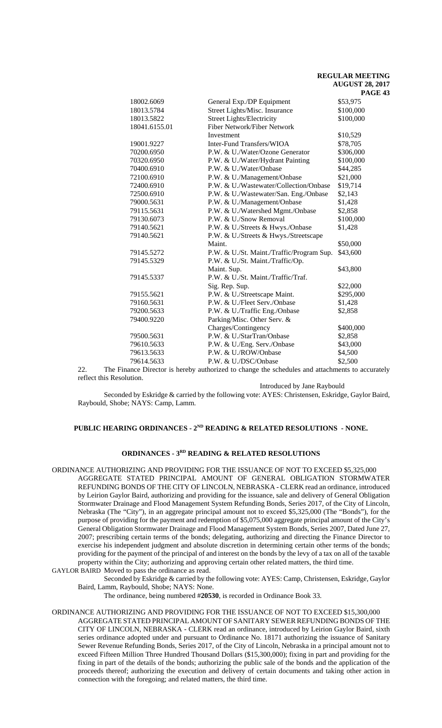|               |                                           | PAGE      |
|---------------|-------------------------------------------|-----------|
| 18002.6069    | General Exp./DP Equipment                 | \$53,975  |
| 18013.5784    | Street Lights/Misc. Insurance             | \$100,000 |
| 18013.5822    | <b>Street Lights/Electricity</b>          | \$100,000 |
| 18041.6155.01 | <b>Fiber Network/Fiber Network</b>        |           |
|               | Investment                                | \$10,529  |
| 19001.9227    | Inter-Fund Transfers/WIOA                 | \$78,705  |
| 70200.6950    | P.W. & U./Water/Ozone Generator           | \$306,000 |
| 70320.6950    | P.W. & U./Water/Hydrant Painting          | \$100,000 |
| 70400.6910    | P.W. & U./Water/Onbase                    | \$44,285  |
| 72100.6910    | P.W. & U./Management/Onbase               | \$21,000  |
| 72400.6910    | P.W. & U./Wastewater/Collection/Onbase    | \$19,714  |
| 72500.6910    | P.W. & U./Wastewater/San. Eng./Onbase     | \$2,143   |
| 79000.5631    | P.W. & U./Management/Onbase               | \$1,428   |
| 79115.5631    | P.W. & U./Watershed Mgmt./Onbase          | \$2,858   |
| 79130.6073    | P.W. & U./Snow Removal                    | \$100,000 |
| 79140.5621    | P.W. & U./Streets & Hwys./Onbase          | \$1,428   |
| 79140.5621    | P.W. & U./Streets & Hwys./Streetscape     |           |
|               | Maint.                                    | \$50,000  |
| 79145.5272    | P.W. & U./St. Maint./Traffic/Program Sup. | \$43,600  |
| 79145.5329    | P.W. & U./St. Maint./Traffic/Op.          |           |
|               | Maint. Sup.                               | \$43,800  |
| 79145.5337    | P.W. & U./St. Maint./Traffic/Traf.        |           |
|               | Sig. Rep. Sup.                            | \$22,000  |
| 79155.5621    | P.W. & U./Streetscape Maint.              | \$295,000 |
| 79160.5631    | P.W. & U./Fleet Serv./Onbase              | \$1,428   |
| 79200.5633    | P.W. & U./Traffic Eng./Onbase             | \$2,858   |
| 79400.9220    | Parking/Misc. Other Serv. &               |           |
|               | Charges/Contingency                       | \$400,000 |
| 79500.5631    | P.W. & U./StarTran/Onbase                 | \$2,858   |
| 79610.5633    | P.W. & U./Eng. Serv./Onbase               | \$43,000  |
| 79613.5633    | P.W. & U./ROW/Onbase                      | \$4,500   |
| 79614.5633    | P.W. & U./DSC/Onbase                      | \$2,500   |

22. The Finance Director is hereby authorized to change the schedules and attachments to accurately reflect this Resolution.

Introduced by Jane Raybould

Seconded by Eskridge & carried by the following vote: AYES: Christensen, Eskridge, Gaylor Baird, Raybould, Shobe; NAYS: Camp, Lamm.

# PUBLIC HEARING ORDINANCES - 2<sup>ND</sup> READING & RELATED RESOLUTIONS - NONE.

# **ORDINANCES - 3RD READING & RELATED RESOLUTIONS**

ORDINANCE AUTHORIZING AND PROVIDING FOR THE ISSUANCE OF NOT TO EXCEED \$5,325,000 AGGREGATE STATED PRINCIPAL AMOUNT OF GENERAL OBLIGATION STORMWATER REFUNDING BONDS OF THE CITY OF LINCOLN, NEBRASKA - CLERK read an ordinance, introduced by Leirion Gaylor Baird, authorizing and providing for the issuance, sale and delivery of General Obligation Stormwater Drainage and Flood Management System Refunding Bonds, Series 2017, of the City of Lincoln, Nebraska (The "City"), in an aggregate principal amount not to exceed \$5,325,000 (The "Bonds"), for the purpose of providing for the payment and redemption of \$5,075,000 aggregate principal amount of the City's General Obligation Stormwater Drainage and Flood Management System Bonds, Series 2007, Dated June 27, 2007; prescribing certain terms of the bonds; delegating, authorizing and directing the Finance Director to exercise his independent judgment and absolute discretion in determining certain other terms of the bonds; providing for the payment of the principal of and interest on the bonds by the levy of a tax on all of the taxable property within the City; authorizing and approving certain other related matters, the third time.

GAYLOR BAIRD Moved to pass the ordinance as read.

Seconded by Eskridge & carried by the following vote: AYES: Camp, Christensen, Eskridge, Gaylor Baird, Lamm, Raybould, Shobe; NAYS: None.

The ordinance, being numbered #**20530**, is recorded in Ordinance Book 33.

ORDINANCE AUTHORIZING AND PROVIDING FOR THE ISSUANCE OF NOT TO EXCEED \$15,300,000 AGGREGATE STATED PRINCIPAL AMOUNT OF SANITARY SEWER REFUNDING BONDS OF THE CITY OF LINCOLN, NEBRASKA - CLERK read an ordinance, introduced by Leirion Gaylor Baird, sixth series ordinance adopted under and pursuant to Ordinance No. 18171 authorizing the issuance of Sanitary Sewer Revenue Refunding Bonds, Series 2017, of the City of Lincoln, Nebraska in a principal amount not to exceed Fifteen Million Three Hundred Thousand Dollars (\$15,300,000); fixing in part and providing for the fixing in part of the details of the bonds; authorizing the public sale of the bonds and the application of the proceeds thereof; authorizing the execution and delivery of certain documents and taking other action in connection with the foregoing; and related matters, the third time.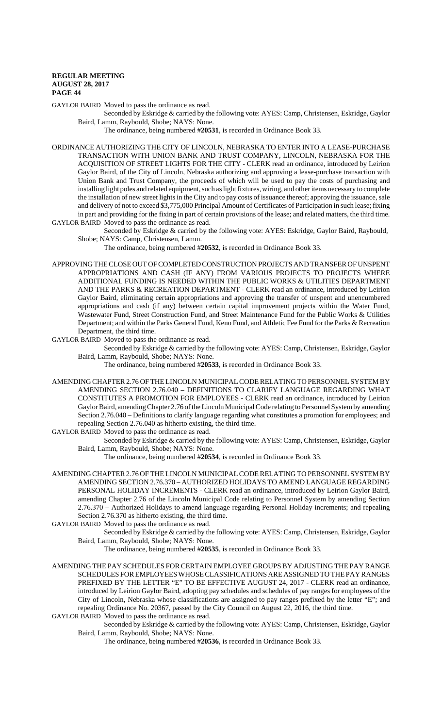GAYLOR BAIRD Moved to pass the ordinance as read.

Seconded by Eskridge & carried by the following vote: AYES: Camp, Christensen, Eskridge, Gaylor Baird, Lamm, Raybould, Shobe; NAYS: None.

The ordinance, being numbered #**20531**, is recorded in Ordinance Book 33.

ORDINANCE AUTHORIZING THE CITY OF LINCOLN, NEBRASKA TO ENTER INTO A LEASE-PURCHASE TRANSACTION WITH UNION BANK AND TRUST COMPANY, LINCOLN, NEBRASKA FOR THE ACQUISITION OF STREET LIGHTS FOR THE CITY - CLERK read an ordinance, introduced by Leirion Gaylor Baird, of the City of Lincoln, Nebraska authorizing and approving a lease-purchase transaction with Union Bank and Trust Company, the proceeds of which will be used to pay the costs of purchasing and installing light poles and related equipment, such as light fixtures, wiring, and other items necessary to complete the installation of new street lights in the City and to pay costs of issuance thereof; approving the issuance, sale and delivery of not to exceed \$3,775,000 Principal Amount of Certificates of Participation in such lease; fixing in part and providing for the fixing in part of certain provisions of the lease; and related matters, the third time. GAYLOR BAIRD Moved to pass the ordinance as read.

Seconded by Eskridge & carried by the following vote: AYES: Eskridge, Gaylor Baird, Raybould, Shobe; NAYS: Camp, Christensen, Lamm.

The ordinance, being numbered #**20532**, is recorded in Ordinance Book 33.

APPROVING THE CLOSE OUT OF COMPLETED CONSTRUCTION PROJECTS AND TRANSFER OF UNSPENT APPROPRIATIONS AND CASH (IF ANY) FROM VARIOUS PROJECTS TO PROJECTS WHERE ADDITIONAL FUNDING IS NEEDED WITHIN THE PUBLIC WORKS & UTILITIES DEPARTMENT AND THE PARKS & RECREATION DEPARTMENT - CLERK read an ordinance, introduced by Leirion Gaylor Baird, eliminating certain appropriations and approving the transfer of unspent and unencumbered appropriations and cash (if any) between certain capital improvement projects within the Water Fund, Wastewater Fund, Street Construction Fund, and Street Maintenance Fund for the Public Works & Utilities Department; and within the Parks General Fund, Keno Fund, and Athletic Fee Fund for the Parks & Recreation Department, the third time.

GAYLOR BAIRD Moved to pass the ordinance as read.

Seconded by Eskridge & carried by the following vote: AYES: Camp, Christensen, Eskridge, Gaylor Baird, Lamm, Raybould, Shobe; NAYS: None.

The ordinance, being numbered #**20533**, is recorded in Ordinance Book 33.

AMENDING CHAPTER 2.76 OF THE LINCOLN MUNICIPAL CODE RELATING TO PERSONNEL SYSTEM BY AMENDING SECTION 2.76.040 – DEFINITIONS TO CLARIFY LANGUAGE REGARDING WHAT CONSTITUTES A PROMOTION FOR EMPLOYEES - CLERK read an ordinance, introduced by Leirion Gaylor Baird, amending Chapter 2.76 of the Lincoln Municipal Code relating to Personnel System by amending Section 2.76.040 – Definitions to clarify language regarding what constitutes a promotion for employees; and repealing Section 2.76.040 as hitherto existing, the third time.

GAYLOR BAIRD Moved to pass the ordinance as read.

Seconded by Eskridge & carried by the following vote: AYES: Camp, Christensen, Eskridge, Gaylor Baird, Lamm, Raybould, Shobe; NAYS: None.

The ordinance, being numbered #**20534**, is recorded in Ordinance Book 33.

AMENDING CHAPTER 2.76 OF THE LINCOLN MUNICIPAL CODE RELATING TO PERSONNEL SYSTEM BY AMENDING SECTION 2.76.370 – AUTHORIZED HOLIDAYS TO AMEND LANGUAGE REGARDING PERSONAL HOLIDAY INCREMENTS - CLERK read an ordinance, introduced by Leirion Gaylor Baird, amending Chapter 2.76 of the Lincoln Municipal Code relating to Personnel System by amending Section 2.76.370 – Authorized Holidays to amend language regarding Personal Holiday increments; and repealing Section 2.76.370 as hitherto existing, the third time.

GAYLOR BAIRD Moved to pass the ordinance as read.

Seconded by Eskridge & carried by the following vote: AYES: Camp, Christensen, Eskridge, Gaylor Baird, Lamm, Raybould, Shobe; NAYS: None.

The ordinance, being numbered #**20535**, is recorded in Ordinance Book 33.

AMENDING THE PAY SCHEDULES FOR CERTAIN EMPLOYEE GROUPS BY ADJUSTING THE PAY RANGE SCHEDULES FOR EMPLOYEES WHOSE CLASSIFICATIONS ARE ASSIGNED TO THE PAY RANGES PREFIXED BY THE LETTER "E" TO BE EFFECTIVE AUGUST 24, 2017 - CLERK read an ordinance, introduced by Leirion Gaylor Baird, adopting pay schedules and schedules of pay ranges for employees of the City of Lincoln, Nebraska whose classifications are assigned to pay ranges prefixed by the letter "E"; and repealing Ordinance No. 20367, passed by the City Council on August 22, 2016, the third time.

GAYLOR BAIRD Moved to pass the ordinance as read.

Seconded by Eskridge & carried by the following vote: AYES: Camp, Christensen, Eskridge, Gaylor Baird, Lamm, Raybould, Shobe; NAYS: None.

The ordinance, being numbered #**20536**, is recorded in Ordinance Book 33.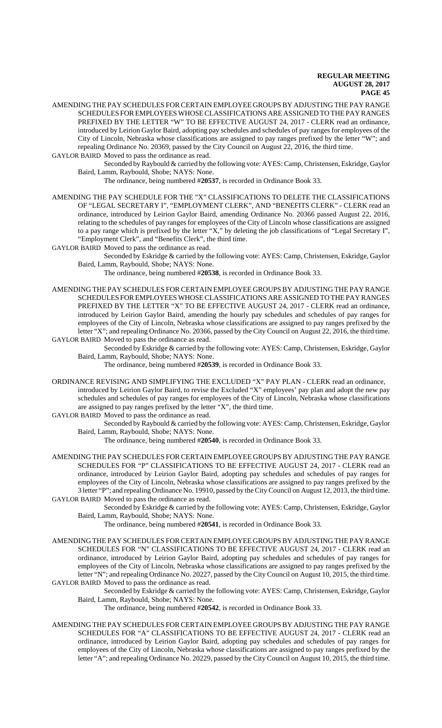- AMENDING THE PAY SCHEDULES FOR CERTAIN EMPLOYEE GROUPS BY ADJUSTING THE PAY RANGE SCHEDULES FOR EMPLOYEES WHOSE CLASSIFICATIONS ARE ASSIGNED TO THE PAY RANGES PREFIXED BY THE LETTER "W" TO BE EFFECTIVE AUGUST 24, 2017 - CLERK read an ordinance, introduced by Leirion Gaylor Baird, adopting pay schedules and schedules of pay ranges for employees of the City of Lincoln, Nebraska whose classifications are assigned to pay ranges prefixed by the letter "W"; and repealing Ordinance No. 20369, passed by the City Council on August 22, 2016, the third time.
- GAYLOR BAIRD Moved to pass the ordinance as read. Seconded by Raybould & carried by the following vote: AYES: Camp, Christensen, Eskridge, Gaylor Baird, Lamm, Raybould, Shobe; NAYS: None.

The ordinance, being numbered #**20537**, is recorded in Ordinance Book 33.

- AMENDING THE PAY SCHEDULE FOR THE "X" CLASSIFICATIONS TO DELETE THE CLASSIFICATIONS OF "LEGAL SECRETARY I", "EMPLOYMENT CLERK", AND "BENEFITS CLERK" - CLERK read an ordinance, introduced by Leirion Gaylor Baird, amending Ordinance No. 20366 passed August 22, 2016, relating to the schedules of pay ranges for employees of the City of Lincoln whose classifications are assigned to a pay range which is prefixed by the letter "X," by deleting the job classifications of "Legal Secretary I", "Employment Clerk", and "Benefits Clerk", the third time.
- GAYLOR BAIRD Moved to pass the ordinance as read.
	- Seconded by Eskridge & carried by the following vote: AYES: Camp, Christensen, Eskridge, Gaylor Baird, Lamm, Raybould, Shobe; NAYS: None.
		- The ordinance, being numbered #**20538**, is recorded in Ordinance Book 33.
- AMENDING THE PAY SCHEDULES FOR CERTAIN EMPLOYEE GROUPS BY ADJUSTING THE PAY RANGE SCHEDULES FOR EMPLOYEES WHOSE CLASSIFICATIONS ARE ASSIGNED TO THE PAY RANGES PREFIXED BY THE LETTER "X" TO BE EFFECTIVE AUGUST 24, 2017 - CLERK read an ordinance, introduced by Leirion Gaylor Baird, amending the hourly pay schedules and schedules of pay ranges for employees of the City of Lincoln, Nebraska whose classifications are assigned to pay ranges prefixed by the letter "X"; and repealing Ordinance No. 20366, passed by the City Council on August 22, 2016, the third time. GAYLOR BAIRD Moved to pass the ordinance as read.
	- Seconded by Eskridge & carried by the following vote: AYES: Camp, Christensen, Eskridge, Gaylor Baird, Lamm, Raybould, Shobe; NAYS: None.
		- The ordinance, being numbered #**20539**, is recorded in Ordinance Book 33.
- ORDINANCE REVISING AND SIMPLIFYING THE EXCLUDED "X" PAY PLAN CLERK read an ordinance, introduced by Leirion Gaylor Baird, to revise the Excluded "X" employees' pay plan and adopt the new pay schedules and schedules of pay ranges for employees of the City of Lincoln, Nebraska whose classifications are assigned to pay ranges prefixed by the letter "X", the third time.
- GAYLOR BAIRD Moved to pass the ordinance as read.
	- Seconded by Raybould & carried by the following vote: AYES: Camp, Christensen, Eskridge, Gaylor Baird, Lamm, Raybould, Shobe; NAYS: None.

The ordinance, being numbered #**20540**, is recorded in Ordinance Book 33.

- AMENDING THE PAY SCHEDULES FOR CERTAIN EMPLOYEE GROUPS BY ADJUSTING THE PAY RANGE SCHEDULES FOR "P" CLASSIFICATIONS TO BE EFFECTIVE AUGUST 24, 2017 - CLERK read an ordinance, introduced by Leirion Gaylor Baird, adopting pay schedules and schedules of pay ranges for employees of the City of Lincoln, Nebraska whose classifications are assigned to pay ranges prefixed by the 3 letter "P"; and repealing Ordinance No. 19910, passed by the City Council on August 12, 2013, the third time. GAYLOR BAIRD Moved to pass the ordinance as read.
	- Seconded by Eskridge & carried by the following vote: AYES: Camp, Christensen, Eskridge, Gaylor Baird, Lamm, Raybould, Shobe; NAYS: None.
		- The ordinance, being numbered #**20541**, is recorded in Ordinance Book 33.
- AMENDING THE PAY SCHEDULES FOR CERTAIN EMPLOYEE GROUPS BY ADJUSTING THE PAY RANGE SCHEDULES FOR "N" CLASSIFICATIONS TO BE EFFECTIVE AUGUST 24, 2017 - CLERK read an ordinance, introduced by Leirion Gaylor Baird, adopting pay schedules and schedules of pay ranges for employees of the City of Lincoln, Nebraska whose classifications are assigned to pay ranges prefixed by the letter "N"; and repealing Ordinance No. 20227, passed by the City Council on August 10, 2015, the third time. GAYLOR BAIRD Moved to pass the ordinance as read.
	- Seconded by Eskridge & carried by the following vote: AYES: Camp, Christensen, Eskridge, Gaylor Baird, Lamm, Raybould, Shobe; NAYS: None.
		- The ordinance, being numbered #**20542**, is recorded in Ordinance Book 33.
- AMENDING THE PAY SCHEDULES FOR CERTAIN EMPLOYEE GROUPS BY ADJUSTING THE PAY RANGE SCHEDULES FOR "A" CLASSIFICATIONS TO BE EFFECTIVE AUGUST 24, 2017 - CLERK read an ordinance, introduced by Leirion Gaylor Baird, adopting pay schedules and schedules of pay ranges for employees of the City of Lincoln, Nebraska whose classifications are assigned to pay ranges prefixed by the letter "A"; and repealing Ordinance No. 20229, passed by the City Council on August 10, 2015, the third time.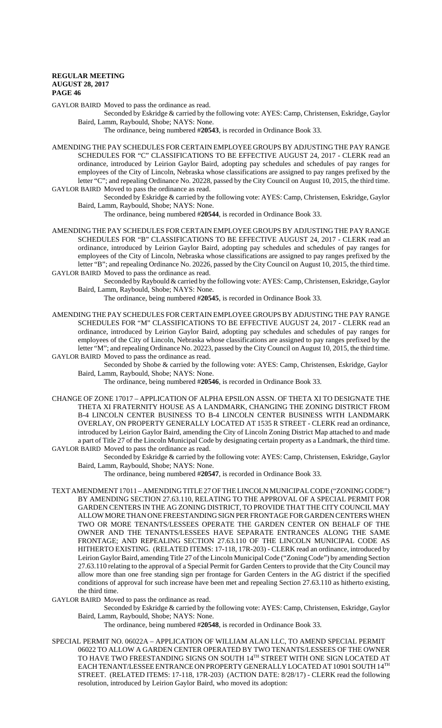GAYLOR BAIRD Moved to pass the ordinance as read.

Seconded by Eskridge & carried by the following vote: AYES: Camp, Christensen, Eskridge, Gaylor Baird, Lamm, Raybould, Shobe; NAYS: None.

The ordinance, being numbered #**20543**, is recorded in Ordinance Book 33.

- AMENDING THE PAY SCHEDULES FOR CERTAIN EMPLOYEE GROUPS BY ADJUSTING THE PAY RANGE SCHEDULES FOR "C" CLASSIFICATIONS TO BE EFFECTIVE AUGUST 24, 2017 - CLERK read an ordinance, introduced by Leirion Gaylor Baird, adopting pay schedules and schedules of pay ranges for employees of the City of Lincoln, Nebraska whose classifications are assigned to pay ranges prefixed by the letter "C"; and repealing Ordinance No. 20228, passed by the City Council on August 10, 2015, the third time. GAYLOR BAIRD Moved to pass the ordinance as read.
	- Seconded by Eskridge & carried by the following vote: AYES: Camp, Christensen, Eskridge, Gaylor Baird, Lamm, Raybould, Shobe; NAYS: None.

The ordinance, being numbered #**20544**, is recorded in Ordinance Book 33.

AMENDING THE PAY SCHEDULES FOR CERTAIN EMPLOYEE GROUPS BY ADJUSTING THE PAY RANGE SCHEDULES FOR "B" CLASSIFICATIONS TO BE EFFECTIVE AUGUST 24, 2017 - CLERK read an ordinance, introduced by Leirion Gaylor Baird, adopting pay schedules and schedules of pay ranges for employees of the City of Lincoln, Nebraska whose classifications are assigned to pay ranges prefixed by the letter "B"; and repealing Ordinance No. 20226, passed by the City Council on August 10, 2015, the third time. GAYLOR BAIRD Moved to pass the ordinance as read.

Seconded by Raybould & carried by the following vote: AYES: Camp, Christensen, Eskridge, Gaylor Baird, Lamm, Raybould, Shobe; NAYS: None.

The ordinance, being numbered #**20545**, is recorded in Ordinance Book 33.

AMENDING THE PAY SCHEDULES FOR CERTAIN EMPLOYEE GROUPS BY ADJUSTING THE PAY RANGE SCHEDULES FOR "M" CLASSIFICATIONS TO BE EFFECTIVE AUGUST 24, 2017 - CLERK read an ordinance, introduced by Leirion Gaylor Baird, adopting pay schedules and schedules of pay ranges for employees of the City of Lincoln, Nebraska whose classifications are assigned to pay ranges prefixed by the letter "M"; and repealing Ordinance No. 20223, passed by the City Council on August 10, 2015, the third time. GAYLOR BAIRD Moved to pass the ordinance as read.

Seconded by Shobe & carried by the following vote: AYES: Camp, Christensen, Eskridge, Gaylor Baird, Lamm, Raybould, Shobe; NAYS: None.

The ordinance, being numbered #**20546**, is recorded in Ordinance Book 33.

- CHANGE OF ZONE 17017 APPLICATION OF ALPHA EPSILON ASSN. OF THETA XI TO DESIGNATE THE THETA XI FRATERNITY HOUSE AS A LANDMARK, CHANGING THE ZONING DISTRICT FROM B-4 LINCOLN CENTER BUSINESS TO B-4 LINCOLN CENTER BUSINESS WITH LANDMARK OVERLAY, ON PROPERTY GENERALLY LOCATED AT 1535 R STREET - CLERK read an ordinance, introduced by Leirion Gaylor Baird, amending the City of Lincoln Zoning District Map attached to and made a part of Title 27 of the Lincoln Municipal Code by designating certain property as a Landmark, the third time. GAYLOR BAIRD Moved to pass the ordinance as read.
	- Seconded by Eskridge & carried by the following vote: AYES: Camp, Christensen, Eskridge, Gaylor Baird, Lamm, Raybould, Shobe; NAYS: None.

The ordinance, being numbered #**20547**, is recorded in Ordinance Book 33.

TEXT AMENDMENT 17011 – AMENDING TITLE 27 OF THE LINCOLN MUNICIPAL CODE ("ZONING CODE") BY AMENDING SECTION 27.63.110, RELATING TO THE APPROVAL OF A SPECIAL PERMIT FOR GARDEN CENTERS IN THE AG ZONING DISTRICT, TO PROVIDE THAT THE CITY COUNCIL MAY ALLOW MORE THAN ONE FREESTANDING SIGN PER FRONTAGE FOR GARDEN CENTERS WHEN TWO OR MORE TENANTS/LESSEES OPERATE THE GARDEN CENTER ON BEHALF OF THE OWNER AND THE TENANTS/LESSEES HAVE SEPARATE ENTRANCES ALONG THE SAME FRONTAGE; AND REPEALING SECTION 27.63.110 OF THE LINCOLN MUNICIPAL CODE AS HITHERTO EXISTING. (RELATED ITEMS: 17-118, 17R-203) - CLERK read an ordinance, introduced by Leirion Gaylor Baird, amending Title 27 of the Lincoln Municipal Code ("Zoning Code") by amending Section 27.63.110 relating to the approval of a Special Permit for Garden Centers to provide that the City Council may allow more than one free standing sign per frontage for Garden Centers in the AG district if the specified conditions of approval for such increase have been met and repealing Section 27.63.110 as hitherto existing, the third time.

GAYLOR BAIRD Moved to pass the ordinance as read.

Seconded by Eskridge & carried by the following vote: AYES: Camp, Christensen, Eskridge, Gaylor Baird, Lamm, Raybould, Shobe; NAYS: None.

- The ordinance, being numbered #**20548**, is recorded in Ordinance Book 33.
- SPECIAL PERMIT NO. 06022A APPLICATION OF WILLIAM ALAN LLC, TO AMEND SPECIAL PERMIT 06022 TO ALLOW A GARDEN CENTER OPERATED BY TWO TENANTS/LESSEES OF THE OWNER TO HAVE TWO FREESTANDING SIGNS ON SOUTH 14TH STREET WITH ONE SIGN LOCATED AT EACH TENANT/LESSEE ENTRANCE ON PROPERTY GENERALLY LOCATED AT 10901 SOUTH 14TH STREET. (RELATED ITEMS: 17-118, 17R-203) (ACTION DATE: 8/28/17) - CLERK read the following resolution, introduced by Leirion Gaylor Baird, who moved its adoption: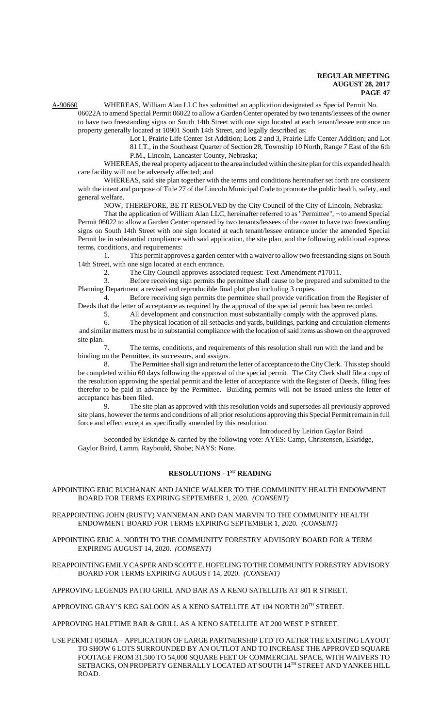A-90660 WHEREAS, William Alan LLC has submitted an application designated as Special Permit No. 06022A to amend Special Permit 06022 to allow a Garden Center operated by two tenants/lessees of the owner

to have two freestanding signs on South 14th Street with one sign located at each tenant/lessee entrance on property generally located at 10901 South 14th Street, and legally described as:

Lot 1, Prairie Life Center 1st Addition; Lots 2 and 3, Prairie Life Center Addition; and Lot

81 I.T., in the Southeast Quarter of Section 28, Township 10 North, Range 7 East of the 6th P.M., Lincoln, Lancaster County, Nebraska;

WHEREAS, the real property adjacent to the area included within the site plan for this expanded health care facility will not be adversely affected; and

WHEREAS, said site plan together with the terms and conditions hereinafter set forth are consistent with the intent and purpose of Title 27 of the Lincoln Municipal Code to promote the public health, safety, and general welfare.

NOW, THEREFORE, BE IT RESOLVED by the City Council of the City of Lincoln, Nebraska:

That the application of William Alan LLC, hereinafter referred to as "Permittee", ¬ to amend Special Permit 06022 to allow a Garden Center operated by two tenants/lessees of the owner to have two freestanding signs on South 14th Street with one sign located at each tenant/lessee entrance under the amended Special Permit be in substantial compliance with said application, the site plan, and the following additional express terms, conditions, and requirements:

1. This permit approves a garden center with a waiver to allow two freestanding signs on South 14th Street, with one sign located at each entrance.

2. The City Council approves associated request: Text Amendment #17011.

3. Before receiving sign permits the permittee shall cause to be prepared and submitted to the Planning Department a revised and reproducible final plot plan including 3 copies.

4. Before receiving sign permits the permittee shall provide verification from the Register of Deeds that the letter of acceptance as required by the approval of the special permit has been recorded.

5. All development and construction must substantially comply with the approved plans.

6. The physical location of all setbacks and yards, buildings, parking and circulation elements and similar matters must be in substantial compliance with the location of said items as shown on the approved site plan.

7. The terms, conditions, and requirements of this resolution shall run with the land and be binding on the Permittee, its successors, and assigns.

8. The Permittee shall sign and return the letter of acceptance to the City Clerk. This step should be completed within 60 days following the approval of the special permit. The City Clerk shall file a copy of the resolution approving the special permit and the letter of acceptance with the Register of Deeds, filing fees therefor to be paid in advance by the Permittee. Building permits will not be issued unless the letter of acceptance has been filed.

9. The site plan as approved with this resolution voids and supersedes all previously approved site plans, however the terms and conditions of all prior resolutions approving this Special Permit remain in full force and effect except as specifically amended by this resolution.

Introduced by Leirion Gaylor Baird

Seconded by Eskridge & carried by the following vote: AYES: Camp, Christensen, Eskridge, Gaylor Baird, Lamm, Raybould, Shobe; NAYS: None.

# **RESOLUTIONS - 1ST READING**

APPOINTING ERIC BUCHANAN AND JANICE WALKER TO THE COMMUNITY HEALTH ENDOWMENT BOARD FOR TERMS EXPIRING SEPTEMBER 1, 2020. *(CONSENT)*

REAPPOINTING JOHN (RUSTY) VANNEMAN AND DAN MARVIN TO THE COMMUNITY HEALTH ENDOWMENT BOARD FOR TERMS EXPIRING SEPTEMBER 1, 2020. *(CONSENT)*

APPOINTING ERIC A. NORTH TO THE COMMUNITY FORESTRY ADVISORY BOARD FOR A TERM EXPIRING AUGUST 14, 2020. *(CONSENT)*

REAPPOINTING EMILY CASPER AND SCOTT E. HOFELING TO THE COMMUNITY FORESTRY ADVISORY BOARD FOR TERMS EXPIRING AUGUST 14, 2020. *(CONSENT)*

APPROVING LEGENDS PATIO GRILL AND BAR AS A KENO SATELLITE AT 801 R STREET.

APPROVING GRAY'S KEG SALOON AS A KENO SATELLITE AT 104 NORTH 20TH STREET.

APPROVING HALFTIME BAR & GRILL AS A KENO SATELLITE AT 200 WEST P STREET.

USE PERMIT 05004A – APPLICATION OF LARGE PARTNERSHIP LTD TO ALTER THE EXISTING LAYOUT TO SHOW 6 LOTS SURROUNDED BY AN OUTLOT AND TO INCREASE THE APPROVED SQUARE FOOTAGE FROM 31,500 TO 54,000 SQUARE FEET OF COMMERCIAL SPACE, WITH WAIVERS TO SETBACKS, ON PROPERTY GENERALLY LOCATED AT SOUTH 14TH STREET AND YANKEE HILL ROAD.